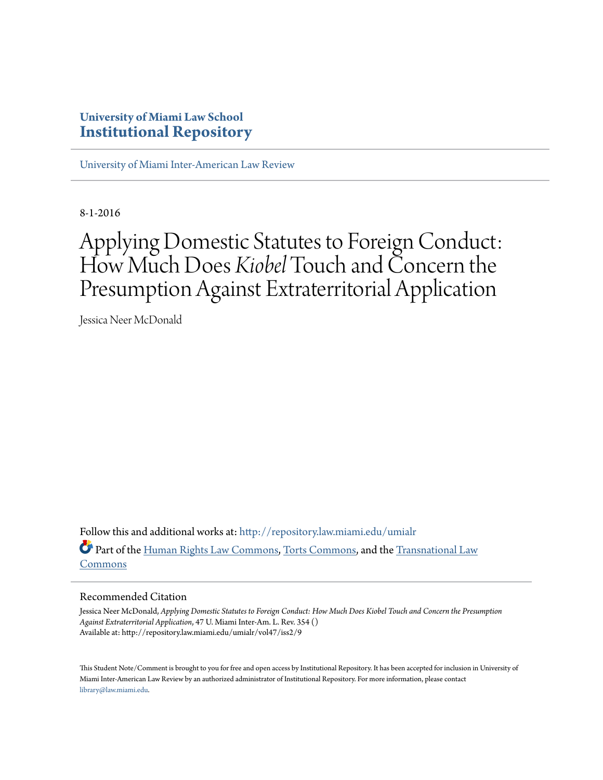## **University of Miami Law School [Institutional Repository](http://repository.law.miami.edu?utm_source=repository.law.miami.edu%2Fumialr%2Fvol47%2Fiss2%2F9&utm_medium=PDF&utm_campaign=PDFCoverPages)**

[University of Miami Inter-American Law Review](http://repository.law.miami.edu/umialr?utm_source=repository.law.miami.edu%2Fumialr%2Fvol47%2Fiss2%2F9&utm_medium=PDF&utm_campaign=PDFCoverPages)

8-1-2016

# Applying Domestic Statutes to Foreign Conduct: How Much Does *Kiobel* Touch and Concern the Presumption Against Extraterritorial Application

Jessica Neer McDonald

Follow this and additional works at: [http://repository.law.miami.edu/umialr](http://repository.law.miami.edu/umialr?utm_source=repository.law.miami.edu%2Fumialr%2Fvol47%2Fiss2%2F9&utm_medium=PDF&utm_campaign=PDFCoverPages) Part of the [Human Rights Law Commons,](http://network.bepress.com/hgg/discipline/847?utm_source=repository.law.miami.edu%2Fumialr%2Fvol47%2Fiss2%2F9&utm_medium=PDF&utm_campaign=PDFCoverPages) [Torts Commons,](http://network.bepress.com/hgg/discipline/913?utm_source=repository.law.miami.edu%2Fumialr%2Fvol47%2Fiss2%2F9&utm_medium=PDF&utm_campaign=PDFCoverPages) and the [Transnational Law](http://network.bepress.com/hgg/discipline/1123?utm_source=repository.law.miami.edu%2Fumialr%2Fvol47%2Fiss2%2F9&utm_medium=PDF&utm_campaign=PDFCoverPages) [Commons](http://network.bepress.com/hgg/discipline/1123?utm_source=repository.law.miami.edu%2Fumialr%2Fvol47%2Fiss2%2F9&utm_medium=PDF&utm_campaign=PDFCoverPages)

## Recommended Citation

Jessica Neer McDonald, *Applying Domestic Statutes to Foreign Conduct: How Much Does Kiobel Touch and Concern the Presumption Against Extraterritorial Application*, 47 U. Miami Inter-Am. L. Rev. 354 () Available at: http://repository.law.miami.edu/umialr/vol47/iss2/9

This Student Note/Comment is brought to you for free and open access by Institutional Repository. It has been accepted for inclusion in University of Miami Inter-American Law Review by an authorized administrator of Institutional Repository. For more information, please contact [library@law.miami.edu](mailto:library@law.miami.edu).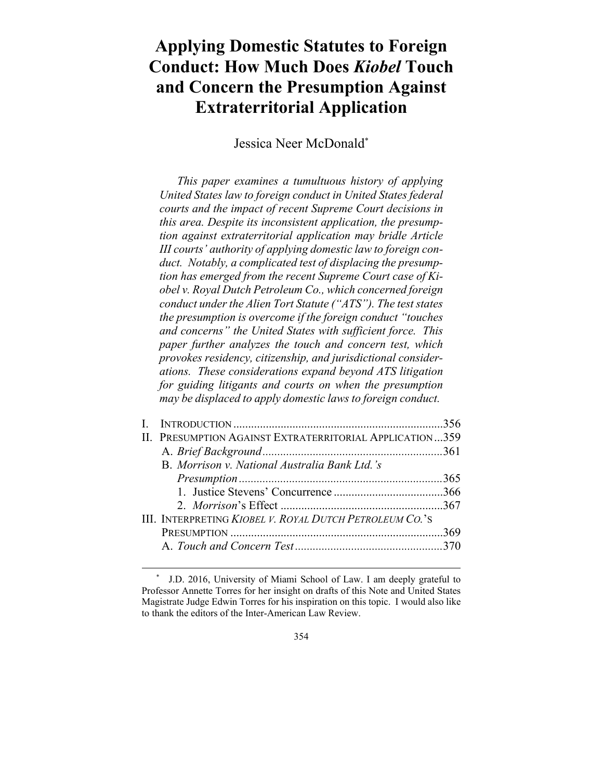## **Applying Domestic Statutes to Foreign Conduct: How Much Does** *Kiobel* **Touch and Concern the Presumption Against Extraterritorial Application**

Jessica Neer McDonald\*

*This paper examines a tumultuous history of applying United States law to foreign conduct in United States federal courts and the impact of recent Supreme Court decisions in this area. Despite its inconsistent application, the presumption against extraterritorial application may bridle Article III courts' authority of applying domestic law to foreign conduct. Notably, a complicated test of displacing the presumption has emerged from the recent Supreme Court case of Kiobel v. Royal Dutch Petroleum Co., which concerned foreign conduct under the Alien Tort Statute ("ATS"). The test states the presumption is overcome if the foreign conduct "touches and concerns" the United States with sufficient force. This paper further analyzes the touch and concern test, which provokes residency, citizenship, and jurisdictional considerations. These considerations expand beyond ATS litigation for guiding litigants and courts on when the presumption may be displaced to apply domestic laws to foreign conduct.* 

| $\mathbf{I}$ |                                                         |  |
|--------------|---------------------------------------------------------|--|
|              | II. PRESUMPTION AGAINST EXTRATERRITORIAL APPLICATION359 |  |
|              |                                                         |  |
|              | B. Morrison v. National Australia Bank Ltd.'s           |  |
|              |                                                         |  |
|              |                                                         |  |
|              |                                                         |  |
|              | III. INTERPRETING KIOBEL V. ROYAL DUTCH PETROLEUM CO.'S |  |
|              |                                                         |  |
|              |                                                         |  |
|              |                                                         |  |

 <sup>\*</sup> J.D. 2016, University of Miami School of Law. I am deeply grateful to Professor Annette Torres for her insight on drafts of this Note and United States Magistrate Judge Edwin Torres for his inspiration on this topic. I would also like to thank the editors of the Inter-American Law Review.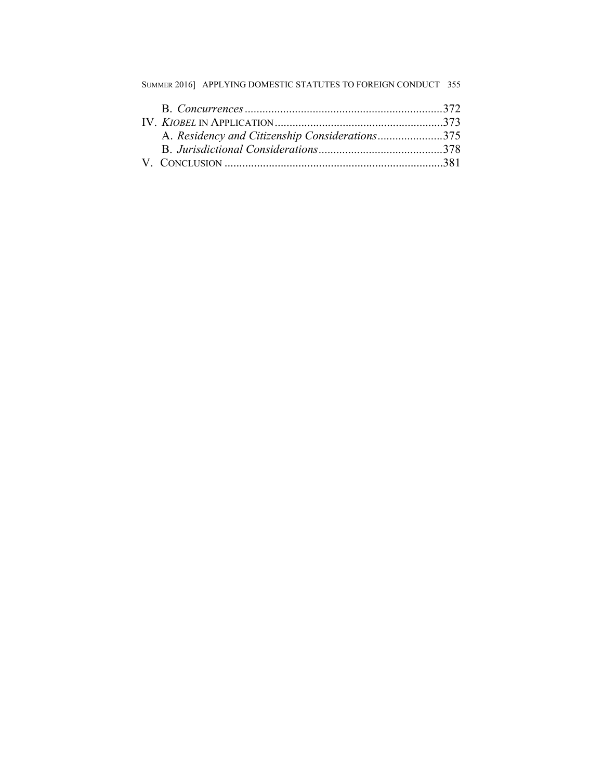| SUMMER 2016] APPLYING DOMESTIC STATUTES TO FOREIGN CONDUCT 355 |  |
|----------------------------------------------------------------|--|
|                                                                |  |
|                                                                |  |
| A. Residency and Citizenship Considerations375                 |  |
|                                                                |  |
|                                                                |  |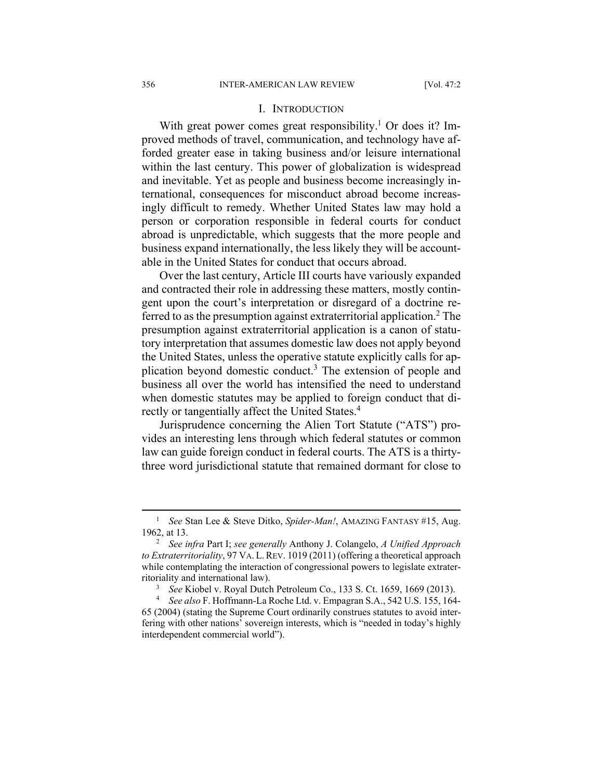#### I. INTRODUCTION

With great power comes great responsibility.<sup>1</sup> Or does it? Improved methods of travel, communication, and technology have afforded greater ease in taking business and/or leisure international within the last century. This power of globalization is widespread and inevitable. Yet as people and business become increasingly international, consequences for misconduct abroad become increasingly difficult to remedy. Whether United States law may hold a person or corporation responsible in federal courts for conduct abroad is unpredictable, which suggests that the more people and business expand internationally, the less likely they will be accountable in the United States for conduct that occurs abroad.

Over the last century, Article III courts have variously expanded and contracted their role in addressing these matters, mostly contingent upon the court's interpretation or disregard of a doctrine referred to as the presumption against extraterritorial application.<sup>2</sup> The presumption against extraterritorial application is a canon of statutory interpretation that assumes domestic law does not apply beyond the United States, unless the operative statute explicitly calls for application beyond domestic conduct.<sup>3</sup> The extension of people and business all over the world has intensified the need to understand when domestic statutes may be applied to foreign conduct that directly or tangentially affect the United States.<sup>4</sup>

Jurisprudence concerning the Alien Tort Statute ("ATS") provides an interesting lens through which federal statutes or common law can guide foreign conduct in federal courts. The ATS is a thirtythree word jurisdictional statute that remained dormant for close to

 $\frac{1}{1}$ <sup>1</sup> See Stan Lee & Steve Ditko, *Spider-Man!*, AMAZING FANTASY #15, Aug. 1962, at 13. 2

*See infra* Part I; *see generally* Anthony J. Colangelo, *A Unified Approach to Extraterritoriality*, 97 VA. L.REV. 1019 (2011) (offering a theoretical approach while contemplating the interaction of congressional powers to legislate extraterritoriality and international law). 3

<sup>&</sup>lt;sup>3</sup> *See* Kiobel v. Royal Dutch Petroleum Co., 133 S. Ct. 1659, 1669 (2013).

*See also* F. Hoffmann-La Roche Ltd. v. Empagran S.A., 542 U.S. 155, 164- 65 (2004) (stating the Supreme Court ordinarily construes statutes to avoid interfering with other nations' sovereign interests, which is "needed in today's highly interdependent commercial world").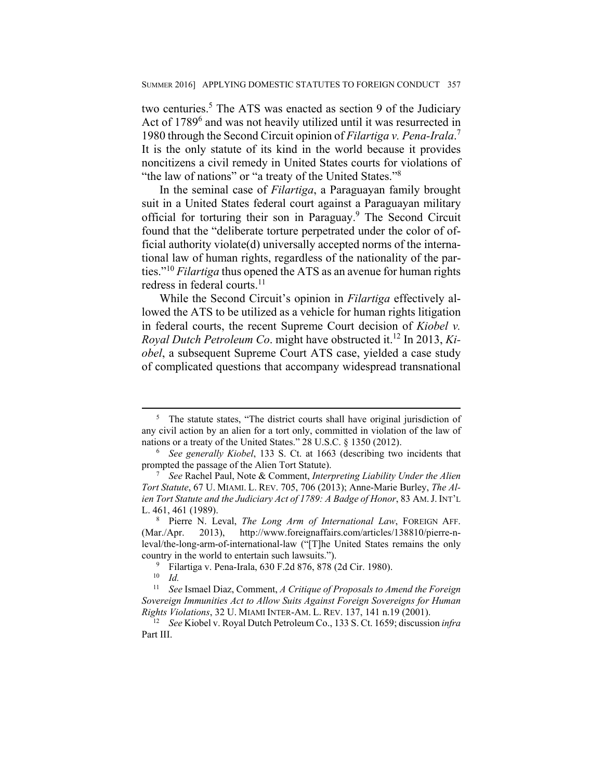two centuries.<sup>5</sup> The ATS was enacted as section 9 of the Judiciary Act of 1789<sup>6</sup> and was not heavily utilized until it was resurrected in 1980 through the Second Circuit opinion of *Filartiga v. Pena-Irala*. 7 It is the only statute of its kind in the world because it provides noncitizens a civil remedy in United States courts for violations of "the law of nations" or "a treaty of the United States."<sup>8</sup>

In the seminal case of *Filartiga*, a Paraguayan family brought suit in a United States federal court against a Paraguayan military official for torturing their son in Paraguay.<sup>9</sup> The Second Circuit found that the "deliberate torture perpetrated under the color of official authority violate(d) universally accepted norms of the international law of human rights, regardless of the nationality of the parties."10 *Filartiga* thus opened the ATS as an avenue for human rights redress in federal courts.<sup>11</sup>

While the Second Circuit's opinion in *Filartiga* effectively allowed the ATS to be utilized as a vehicle for human rights litigation in federal courts, the recent Supreme Court decision of *Kiobel v. Royal Dutch Petroleum Co*. might have obstructed it.12 In 2013, *Kiobel*, a subsequent Supreme Court ATS case, yielded a case study of complicated questions that accompany widespread transnational

<sup>&</sup>lt;sup>5</sup> The statute states, "The district courts shall have original jurisdiction of any civil action by an alien for a tort only, committed in violation of the law of nations or a treaty of the United States." 28 U.S.C. § 1350 (2012).

*See generally Kiobel*, 133 S. Ct. at 1663 (describing two incidents that prompted the passage of the Alien Tort Statute).

*See* Rachel Paul, Note & Comment, *Interpreting Liability Under the Alien Tort Statute*, 67 U. MIAMI. L. REV. 705, 706 (2013); Anne-Marie Burley, *The Alien Tort Statute and the Judiciary Act of 1789: A Badge of Honor*, 83 AM.J. INT'L L. 461, 461 (1989).

Pierre N. Leval, *The Long Arm of International Law*, FOREIGN AFF. (Mar./Apr. 2013), http://www.foreignaffairs.com/articles/138810/pierre-nleval/the-long-arm-of-international-law ("[T]he United States remains the only country in the world to entertain such lawsuits.").

<sup>&</sup>lt;sup>9</sup> Filartiga v. Pena-Irala, 630 F.2d 876, 878 (2d Cir. 1980).

<sup>10</sup> *Id.*

<sup>11</sup> *See* Ismael Diaz, Comment, *A Critique of Proposals to Amend the Foreign Sovereign Immunities Act to Allow Suits Against Foreign Sovereigns for Human Rights Violations*, 32 U. MIAMI INTER-AM. L. REV. 137, 141 n.19 (2001). 12 *See* Kiobel v. Royal Dutch Petroleum Co., 133 S. Ct. 1659; discussion *infra*

Part III.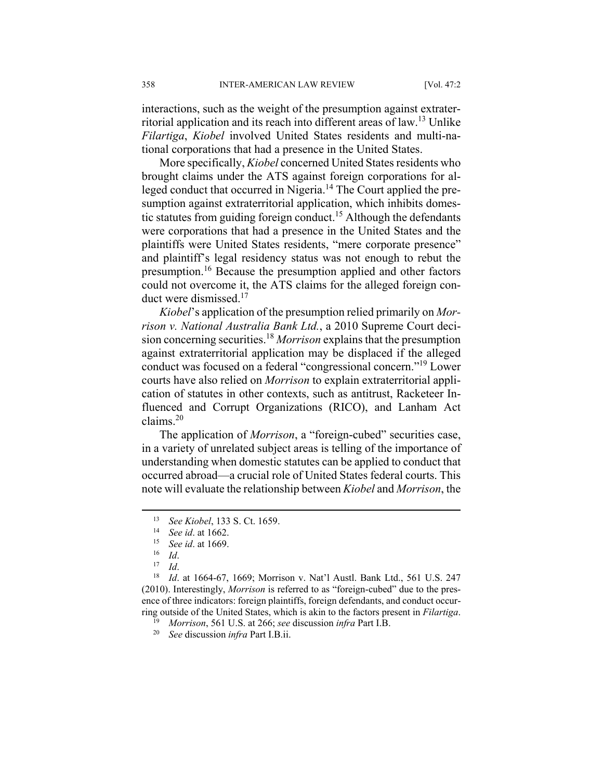interactions, such as the weight of the presumption against extraterritorial application and its reach into different areas of law.13 Unlike *Filartiga*, *Kiobel* involved United States residents and multi-national corporations that had a presence in the United States.

More specifically, *Kiobel* concerned United States residents who brought claims under the ATS against foreign corporations for alleged conduct that occurred in Nigeria.<sup>14</sup> The Court applied the presumption against extraterritorial application, which inhibits domestic statutes from guiding foreign conduct.<sup>15</sup> Although the defendants were corporations that had a presence in the United States and the plaintiffs were United States residents, "mere corporate presence" and plaintiff's legal residency status was not enough to rebut the presumption.16 Because the presumption applied and other factors could not overcome it, the ATS claims for the alleged foreign conduct were dismissed.<sup>17</sup>

*Kiobel*'s application of the presumption relied primarily on *Morrison v. National Australia Bank Ltd.*, a 2010 Supreme Court decision concerning securities.18 *Morrison* explains that the presumption against extraterritorial application may be displaced if the alleged conduct was focused on a federal "congressional concern."19 Lower courts have also relied on *Morrison* to explain extraterritorial application of statutes in other contexts, such as antitrust, Racketeer Influenced and Corrupt Organizations (RICO), and Lanham Act claims.20

The application of *Morrison*, a "foreign-cubed" securities case, in a variety of unrelated subject areas is telling of the importance of understanding when domestic statutes can be applied to conduct that occurred abroad—a crucial role of United States federal courts. This note will evaluate the relationship between *Kiobel* and *Morrison*, the

13 See *Kiobel*, 133 S. Ct. 1659.<br>
<sup>14</sup> See id. at 1662.<br>
<sup>15</sup> *Id.* 16 *Id.*<br>
<sup>17</sup> *Id.* 18<br> *Id.* at 1664-67, 1669; Morrison v. Nat'l Austl. Bank Ltd., 561 U.S. 247 (2010). Interestingly, *Morrison* is referred to as "foreign-cubed" due to the presence of three indicators: foreign plaintiffs, foreign defendants, and conduct occurring outside of the United States, which is akin to the factors present in *Filartiga*.<br><sup>19</sup> Morrison, 561 U.S. at 266; see discussion *infra* Part I.B.<br><sup>20</sup> See discussion *infra* Part I.B.ii.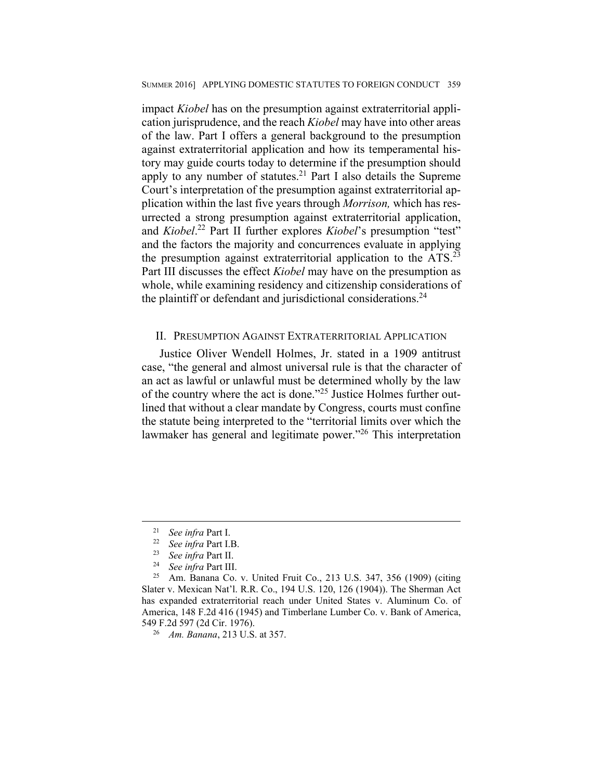impact *Kiobel* has on the presumption against extraterritorial application jurisprudence, and the reach *Kiobel* may have into other areas of the law. Part I offers a general background to the presumption against extraterritorial application and how its temperamental history may guide courts today to determine if the presumption should apply to any number of statutes.21 Part I also details the Supreme Court's interpretation of the presumption against extraterritorial application within the last five years through *Morrison,* which has resurrected a strong presumption against extraterritorial application, and *Kiobel*. 22 Part II further explores *Kiobel*'s presumption "test" and the factors the majority and concurrences evaluate in applying the presumption against extraterritorial application to the ATS.<sup>23</sup> Part III discusses the effect *Kiobel* may have on the presumption as whole, while examining residency and citizenship considerations of the plaintiff or defendant and jurisdictional considerations.<sup>24</sup>

## II. PRESUMPTION AGAINST EXTRATERRITORIAL APPLICATION

Justice Oliver Wendell Holmes, Jr. stated in a 1909 antitrust case, "the general and almost universal rule is that the character of an act as lawful or unlawful must be determined wholly by the law of the country where the act is done."25 Justice Holmes further outlined that without a clear mandate by Congress, courts must confine the statute being interpreted to the "territorial limits over which the lawmaker has general and legitimate power."26 This interpretation

<sup>&</sup>lt;sup>21</sup> See infra Part I.<br>
<sup>22</sup> See infra Part I.B.<br>
<sup>23</sup> See infra Part III.<br>
<sup>24</sup> See infra Part III.<br>
<sup>25</sup> Am. Banana Co. v. United Fruit Co., 213 U.S. 347, 356 (1909) (citing Slater v. Mexican Nat'l. R.R. Co., 194 U.S. 120, 126 (1904)). The Sherman Act has expanded extraterritorial reach under United States v. Aluminum Co. of America, 148 F.2d 416 (1945) and Timberlane Lumber Co. v. Bank of America, 549 F.2d 597 (2d Cir. 1976). 26 *Am. Banana*, 213 U.S. at 357.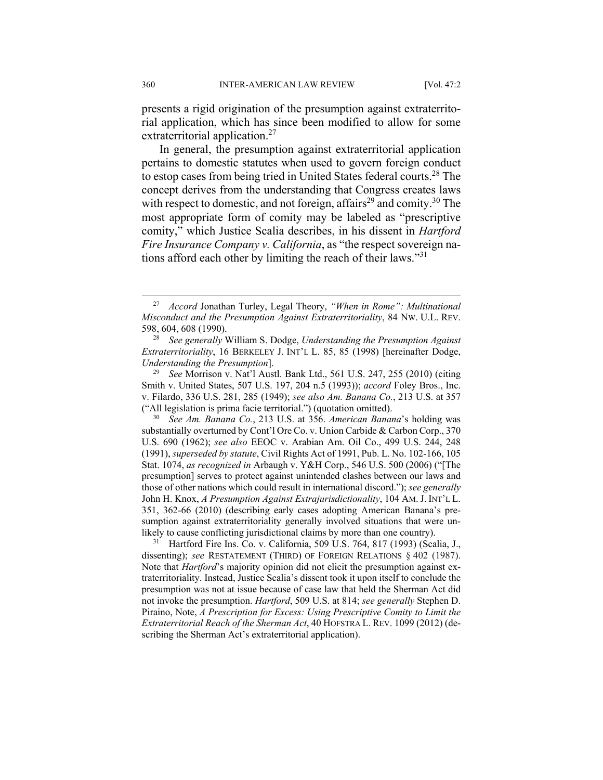presents a rigid origination of the presumption against extraterritorial application, which has since been modified to allow for some extraterritorial application.<sup>27</sup>

In general, the presumption against extraterritorial application pertains to domestic statutes when used to govern foreign conduct to estop cases from being tried in United States federal courts.28 The concept derives from the understanding that Congress creates laws with respect to domestic, and not foreign, affairs<sup>29</sup> and comity.<sup>30</sup> The most appropriate form of comity may be labeled as "prescriptive comity," which Justice Scalia describes, in his dissent in *Hartford Fire Insurance Company v. California*, as "the respect sovereign nations afford each other by limiting the reach of their laws."31

substantially overturned by Cont'l Ore Co. v. Union Carbide & Carbon Corp., 370 U.S. 690 (1962); *see also* EEOC v. Arabian Am. Oil Co., 499 U.S. 244, 248 (1991), *superseded by statute*, Civil Rights Act of 1991, Pub. L. No. 102-166, 105 Stat. 1074, *as recognized in* Arbaugh v. Y&H Corp., 546 U.S. 500 (2006) ("[The presumption] serves to protect against unintended clashes between our laws and those of other nations which could result in international discord."); *see generally* John H. Knox, *A Presumption Against Extrajurisdictionality*, 104 AM.J. INT'L L. 351, 362-66 (2010) (describing early cases adopting American Banana's presumption against extraterritoriality generally involved situations that were un-

likely to cause conflicting jurisdictional claims by more than one country).<br><sup>31</sup> Hartford Fire Ins. Co. v. California, 509 U.S. 764, 817 (1993) (Scalia, J., dissenting); *see* RESTATEMENT (THIRD) OF FOREIGN RELATIONS § 402 (1987). Note that *Hartford*'s majority opinion did not elicit the presumption against extraterritoriality. Instead, Justice Scalia's dissent took it upon itself to conclude the presumption was not at issue because of case law that held the Sherman Act did not invoke the presumption. *Hartford*, 509 U.S. at 814; *see generally* Stephen D. Piraino, Note, *A Prescription for Excess: Using Prescriptive Comity to Limit the Extraterritorial Reach of the Sherman Act*, 40 HOFSTRA L. REV. 1099 (2012) (describing the Sherman Act's extraterritorial application).

 <sup>27</sup> *Accord* Jonathan Turley, Legal Theory, *"When in Rome": Multinational Misconduct and the Presumption Against Extraterritoriality*, 84 NW. U.L. REV. 598, 604, 608 (1990). 28 *See generally* William S. Dodge, *Understanding the Presumption Against* 

*Extraterritoriality*, 16 BERKELEY J. INT'L L. 85, 85 (1998) [hereinafter Dodge, *Understanding the Presumption*]. 29 *See* Morrison v. Nat'l Austl. Bank Ltd., 561 U.S. 247, 255 (2010) (citing

Smith v. United States, 507 U.S. 197, 204 n.5 (1993)); *accord* Foley Bros., Inc. v. Filardo, 336 U.S. 281, 285 (1949); *see also Am. Banana Co.*, 213 U.S. at 357 ("All legislation is prima facie territorial.") (quotation omitted). 30 *See Am. Banana Co.*, 213 U.S. at 356. *American Banana*'s holding was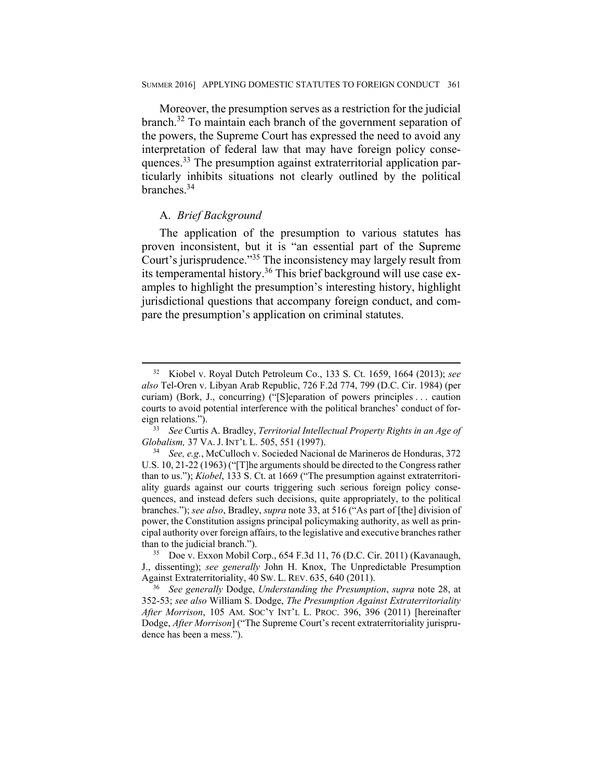Moreover, the presumption serves as a restriction for the judicial branch.32 To maintain each branch of the government separation of the powers, the Supreme Court has expressed the need to avoid any interpretation of federal law that may have foreign policy consequences.<sup>33</sup> The presumption against extraterritorial application particularly inhibits situations not clearly outlined by the political branches.34

#### A. *Brief Background*

The application of the presumption to various statutes has proven inconsistent, but it is "an essential part of the Supreme Court's jurisprudence."35 The inconsistency may largely result from its temperamental history.36 This brief background will use case examples to highlight the presumption's interesting history, highlight jurisdictional questions that accompany foreign conduct, and compare the presumption's application on criminal statutes.

 <sup>32</sup> Kiobel v. Royal Dutch Petroleum Co., 133 S. Ct. 1659, 1664 (2013); *see also* Tel-Oren v. Libyan Arab Republic, 726 F.2d 774, 799 (D.C. Cir. 1984) (per curiam) (Bork, J., concurring) ("[S]eparation of powers principles . . . caution courts to avoid potential interference with the political branches' conduct of foreign relations."). 33 *See* Curtis A. Bradley, *Territorial Intellectual Property Rights in an Age of* 

*Globalism,* 37 VA. J. INT'L L. 505, 551 (1997). 34 *See, e.g.*, McCulloch v. Socieded Nacional de Marineros de Honduras, 372

U.S. 10, 21-22 (1963) ("[T]he arguments should be directed to the Congress rather than to us."); *Kiobel*, 133 S. Ct. at 1669 ("The presumption against extraterritoriality guards against our courts triggering such serious foreign policy consequences, and instead defers such decisions, quite appropriately, to the political branches."); *see also*, Bradley, *supra* note 33, at 516 ("As part of [the] division of power, the Constitution assigns principal policymaking authority, as well as principal authority over foreign affairs, to the legislative and executive branches rather than to the judicial branch.").<br><sup>35</sup> Doe v. Exxon Mobil Corp., 654 F.3d 11, 76 (D.C. Cir. 2011) (Kavanaugh,

J., dissenting); *see generally* John H. Knox, The Unpredictable Presumption Against Extraterritoriality, 40 SW. L. REV. 635, 640 (2011). 36 *See generally* Dodge, *Understanding the Presumption*, *supra* note 28, at

<sup>352-53;</sup> *see also* William S. Dodge, *The Presumption Against Extraterritoriality After Morrison*, 105 AM. SOC'Y INT'L L. PROC. 396, 396 (2011) [hereinafter Dodge, *After Morrison*] ("The Supreme Court's recent extraterritoriality jurisprudence has been a mess.").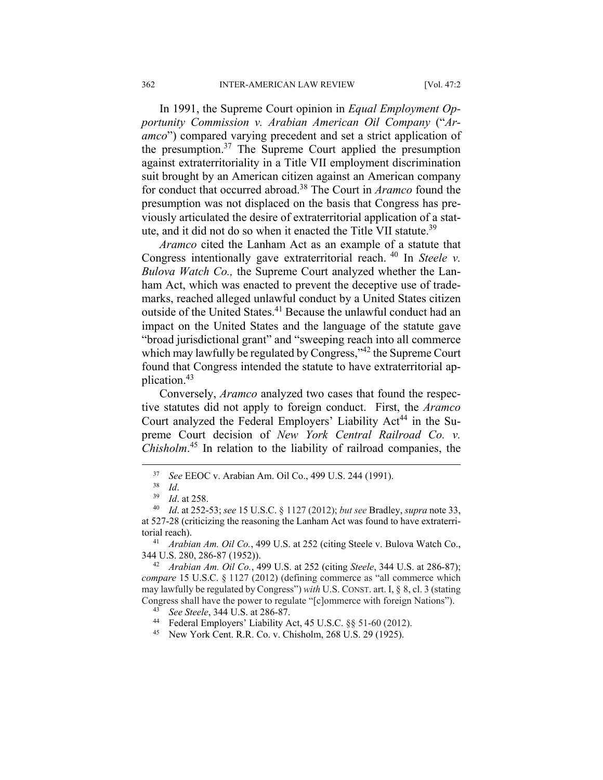In 1991, the Supreme Court opinion in *Equal Employment Opportunity Commission v. Arabian American Oil Company* ("*Aramco*") compared varying precedent and set a strict application of the presumption.37 The Supreme Court applied the presumption against extraterritoriality in a Title VII employment discrimination suit brought by an American citizen against an American company for conduct that occurred abroad.38 The Court in *Aramco* found the presumption was not displaced on the basis that Congress has previously articulated the desire of extraterritorial application of a statute, and it did not do so when it enacted the Title VII statute.<sup>39</sup>

*Aramco* cited the Lanham Act as an example of a statute that Congress intentionally gave extraterritorial reach. 40 In *Steele v. Bulova Watch Co.,* the Supreme Court analyzed whether the Lanham Act, which was enacted to prevent the deceptive use of trademarks, reached alleged unlawful conduct by a United States citizen outside of the United States.41 Because the unlawful conduct had an impact on the United States and the language of the statute gave "broad jurisdictional grant" and "sweeping reach into all commerce which may lawfully be regulated by Congress,"<sup>42</sup> the Supreme Court found that Congress intended the statute to have extraterritorial application.43

Conversely, *Aramco* analyzed two cases that found the respective statutes did not apply to foreign conduct. First, the *Aramco*  Court analyzed the Federal Employers' Liability Act<sup>44</sup> in the Supreme Court decision of *New York Central Railroad Co. v. Chisholm*. 45 In relation to the liability of railroad companies, the

344 U.S. 280, 286-87 (1952)). 42 *Arabian Am. Oil Co.*, 499 U.S. at 252 (citing *Steele*, 344 U.S. at 286-87);

<sup>43</sup> *See Steele*, 344 U.S. at 286-87. 44 Federal Employers' Liability Act, 45 U.S.C. §§ 51-60 (2012).

<sup>37</sup> *See* EEOC v. Arabian Am. Oil Co., 499 U.S. 244 (1991). 38 *Id*. 39 *Id*. at 258. 40 *Id*. at 252-53; *see* 15 U.S.C. § 1127 (2012); *but see* Bradley, *supra* note 33,

at 527-28 (criticizing the reasoning the Lanham Act was found to have extraterritorial reach). 41 *Arabian Am. Oil Co.*, 499 U.S. at 252 (citing Steele v. Bulova Watch Co.,

*compare* 15 U.S.C. § 1127 (2012) (defining commerce as "all commerce which may lawfully be regulated by Congress") *with* U.S. CONST. art. I, § 8, cl. 3 (stating Congress shall have the power to regulate "[c]ommerce with foreign Nations").

<sup>45</sup> New York Cent. R.R. Co. v. Chisholm, 268 U.S. 29 (1925).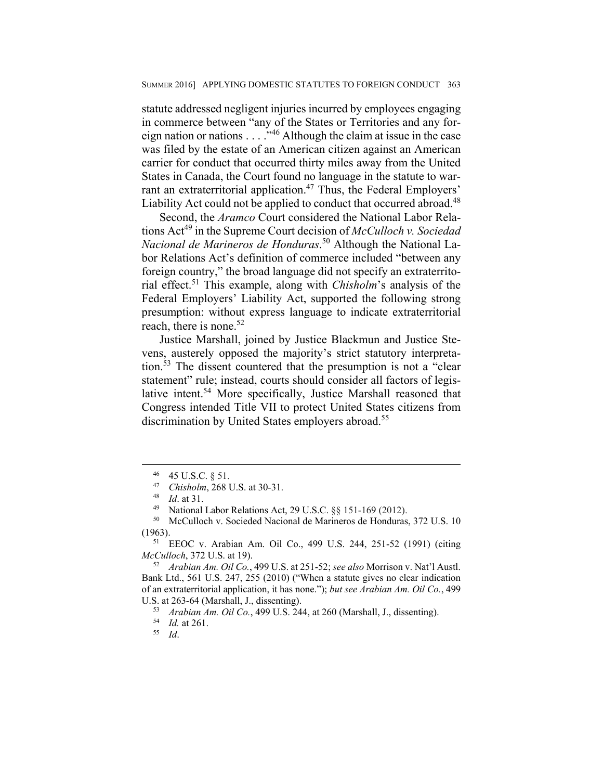statute addressed negligent injuries incurred by employees engaging in commerce between "any of the States or Territories and any foreign nation or nations . . . . .<sup>346</sup> Although the claim at issue in the case was filed by the estate of an American citizen against an American carrier for conduct that occurred thirty miles away from the United States in Canada, the Court found no language in the statute to warrant an extraterritorial application.<sup>47</sup> Thus, the Federal Employers' Liability Act could not be applied to conduct that occurred abroad.<sup>48</sup>

Second, the *Aramco* Court considered the National Labor Relations Act49 in the Supreme Court decision of *McCulloch v. Sociedad Nacional de Marineros de Honduras*. 50 Although the National Labor Relations Act's definition of commerce included "between any foreign country," the broad language did not specify an extraterritorial effect.51 This example, along with *Chisholm*'s analysis of the Federal Employers' Liability Act, supported the following strong presumption: without express language to indicate extraterritorial reach, there is none.<sup>52</sup>

Justice Marshall, joined by Justice Blackmun and Justice Stevens, austerely opposed the majority's strict statutory interpretation.53 The dissent countered that the presumption is not a "clear statement" rule; instead, courts should consider all factors of legislative intent.<sup>54</sup> More specifically, Justice Marshall reasoned that Congress intended Title VII to protect United States citizens from discrimination by United States employers abroad.<sup>55</sup>

<sup>46 45</sup> U.S.C.  $\S$  51.<br>47 *Chisholm*, 268 U.S. at 30-31.

<sup>&</sup>lt;sup>48</sup> *Id.* at 31. **Chicharal Labor Relations Act, 29 U.S.C.** §§ 151-169 (2012).

<sup>50</sup> McCulloch v. Socieded Nacional de Marineros de Honduras, 372 U.S. 10

<sup>(1963). 51</sup> EEOC v. Arabian Am. Oil Co., 499 U.S. 244, 251-52 (1991) (citing *McCulloch*, 372 U.S. at 19). 52 *Arabian Am. Oil Co.*, 499 U.S. at 251-52; *see also* Morrison v. Nat'l Austl.

Bank Ltd., 561 U.S. 247, 255 (2010) ("When a statute gives no clear indication of an extraterritorial application, it has none."); *but see Arabian Am. Oil Co.*, 499 U.S. at 263-64 (Marshall, J., dissenting). 53 *Arabian Am. Oil Co.*, 499 U.S. 244, at 260 (Marshall, J., dissenting). 54 *Id.* at 261. 55 *Id*.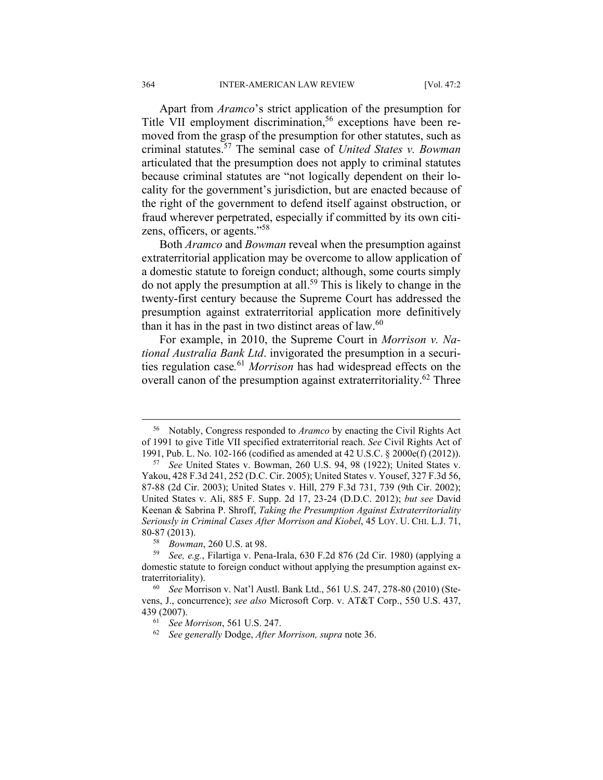Apart from *Aramco*'s strict application of the presumption for Title VII employment discrimination,<sup>56</sup> exceptions have been removed from the grasp of the presumption for other statutes, such as criminal statutes.57 The seminal case of *United States v. Bowman* articulated that the presumption does not apply to criminal statutes because criminal statutes are "not logically dependent on their locality for the government's jurisdiction, but are enacted because of the right of the government to defend itself against obstruction, or fraud wherever perpetrated, especially if committed by its own citizens, officers, or agents."58

Both *Aramco* and *Bowman* reveal when the presumption against extraterritorial application may be overcome to allow application of a domestic statute to foreign conduct; although, some courts simply do not apply the presumption at all.<sup>59</sup> This is likely to change in the twenty-first century because the Supreme Court has addressed the presumption against extraterritorial application more definitively than it has in the past in two distinct areas of law. $60$ 

For example, in 2010, the Supreme Court in *Morrison v. National Australia Bank Ltd*. invigorated the presumption in a securities regulation case*.* <sup>61</sup> *Morrison* has had widespread effects on the overall canon of the presumption against extraterritoriality.<sup>62</sup> Three

 <sup>56</sup> Notably, Congress responded to *Aramco* by enacting the Civil Rights Act of 1991 to give Title VII specified extraterritorial reach. *See* Civil Rights Act of 1991, Pub. L. No. 102-166 (codified as amended at 42 U.S.C. § 2000e(f) (2012)). 57 *See* United States v. Bowman, 260 U.S. 94, 98 (1922); United States v.

Yakou, 428 F.3d 241, 252 (D.C. Cir. 2005); United States v. Yousef, 327 F.3d 56, 87-88 (2d Cir. 2003); United States v. Hill, 279 F.3d 731, 739 (9th Cir. 2002); United States v. Ali, 885 F. Supp. 2d 17, 23-24 (D.D.C. 2012); *but see* David Keenan & Sabrina P. Shroff, *Taking the Presumption Against Extraterritoriality Seriously in Criminal Cases After Morrison and Kiobel*, 45 LOY. U. CHI. L.J. 71,

<sup>80-87 (2013). 58</sup> *Bowman*, 260 U.S. at 98. 59 *See, e.g.*, Filartiga v. Pena-Irala, 630 F.2d 876 (2d Cir. 1980) (applying a domestic statute to foreign conduct without applying the presumption against extraterritoriality). 60 *See* Morrison v. Nat'l Austl. Bank Ltd., 561 U.S. 247, 278-80 (2010) (Ste-

vens, J., concurrence); *see also* Microsoft Corp. v. AT&T Corp., 550 U.S. 437, 439 (2007). 61 *See Morrison*, 561 U.S. 247. 62 *See generally* Dodge, *After Morrison, supra* note 36.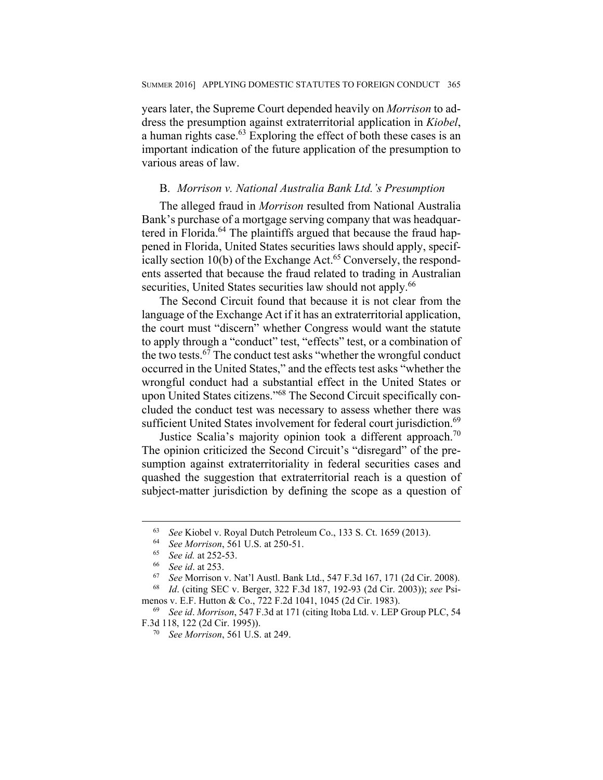years later, the Supreme Court depended heavily on *Morrison* to address the presumption against extraterritorial application in *Kiobel*, a human rights case.<sup>63</sup> Exploring the effect of both these cases is an important indication of the future application of the presumption to various areas of law.

## B. *Morrison v. National Australia Bank Ltd.'s Presumption*

The alleged fraud in *Morrison* resulted from National Australia Bank's purchase of a mortgage serving company that was headquartered in Florida.<sup>64</sup> The plaintiffs argued that because the fraud happened in Florida, United States securities laws should apply, specifically section  $10(b)$  of the Exchange Act.<sup>65</sup> Conversely, the respondents asserted that because the fraud related to trading in Australian securities, United States securities law should not apply.<sup>66</sup>

The Second Circuit found that because it is not clear from the language of the Exchange Act if it has an extraterritorial application, the court must "discern" whether Congress would want the statute to apply through a "conduct" test, "effects" test, or a combination of the two tests.<sup>67</sup> The conduct test asks "whether the wrongful conduct occurred in the United States," and the effects test asks "whether the wrongful conduct had a substantial effect in the United States or upon United States citizens."68 The Second Circuit specifically concluded the conduct test was necessary to assess whether there was sufficient United States involvement for federal court jurisdiction.<sup>69</sup>

Justice Scalia's majority opinion took a different approach.<sup>70</sup> The opinion criticized the Second Circuit's "disregard" of the presumption against extraterritoriality in federal securities cases and quashed the suggestion that extraterritorial reach is a question of subject-matter jurisdiction by defining the scope as a question of

<sup>&</sup>lt;sup>63</sup> See Kiobel v. Royal Dutch Petroleum Co., 133 S. Ct. 1659 (2013).<br>
<sup>64</sup> See Morrison, 561 U.S. at 250-51.<br>
<sup>65</sup> See id. at 252-53.<br>
<sup>66</sup> See id. at 253.<br>
<sup>67</sup> See Morrison v. Nat'l Austl. Bank Ltd., 547 F.3d 167, 171

menos v. E.F. Hutton & Co., 722 F.2d 1041, 1045 (2d Cir. 1983). 69 *See id*. *Morrison*, 547 F.3d at 171 (citing Itoba Ltd. v. LEP Group PLC, 54

F.3d 118, 122 (2d Cir. 1995)). 70 *See Morrison*, 561 U.S. at 249.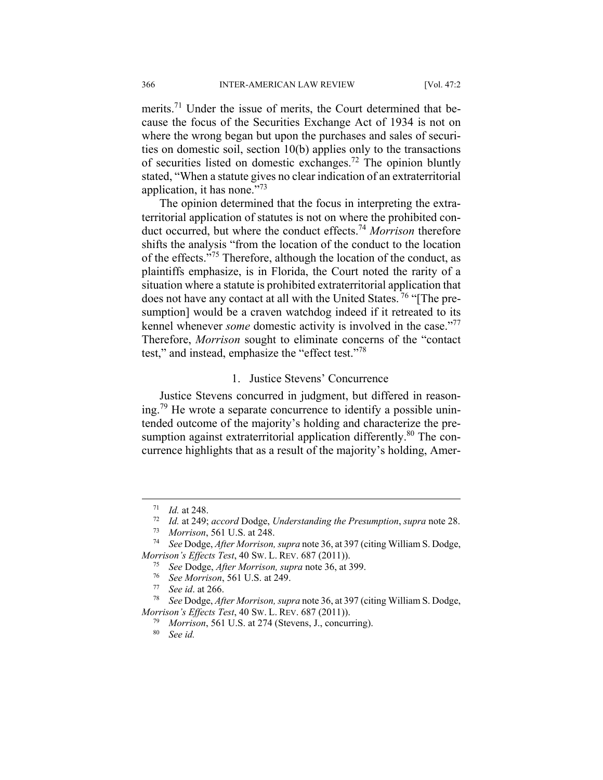merits.<sup>71</sup> Under the issue of merits, the Court determined that because the focus of the Securities Exchange Act of 1934 is not on where the wrong began but upon the purchases and sales of securities on domestic soil, section 10(b) applies only to the transactions of securities listed on domestic exchanges.<sup>72</sup> The opinion bluntly stated, "When a statute gives no clear indication of an extraterritorial application, it has none."73

The opinion determined that the focus in interpreting the extraterritorial application of statutes is not on where the prohibited conduct occurred, but where the conduct effects.74 *Morrison* therefore shifts the analysis "from the location of the conduct to the location of the effects."75 Therefore, although the location of the conduct, as plaintiffs emphasize, is in Florida, the Court noted the rarity of a situation where a statute is prohibited extraterritorial application that does not have any contact at all with the United States.<sup>76</sup> "[The presumption] would be a craven watchdog indeed if it retreated to its kennel whenever *some* domestic activity is involved in the case."77 Therefore, *Morrison* sought to eliminate concerns of the "contact test," and instead, emphasize the "effect test."78

#### 1. Justice Stevens' Concurrence

Justice Stevens concurred in judgment, but differed in reasoning.<sup>79</sup> He wrote a separate concurrence to identify a possible unintended outcome of the majority's holding and characterize the presumption against extraterritorial application differently.<sup>80</sup> The concurrence highlights that as a result of the majority's holding, Amer-

<sup>71</sup> *Id.* at 248. 72 *Id.* at 249; *accord* Dodge, *Understanding the Presumption*, *supra* note 28.

<sup>73</sup> *Morrison*, 561 U.S. at 248. 74 *See* Dodge, *After Morrison, supra* note 36, at 397 (citing William S. Dodge, *Morrison's Effects Test,* 40 Sw. L. REV. 687 (2011)).<br><sup>75</sup> See Dodge, *After Morrison, supra* note 36, at 399.<br><sup>76</sup> See Morrison, 561 U.S. at 249.<br><sup>77</sup> See id. at 266.<br><sup>88</sup> See Dodge, *After Morrison, supra* note 36, at

*Morrison's Effects Test*, 40 SW. L. REV. 687 (2011)). 79 *Morrison*, 561 U.S. at 274 (Stevens, J., concurring). 80 *See id.*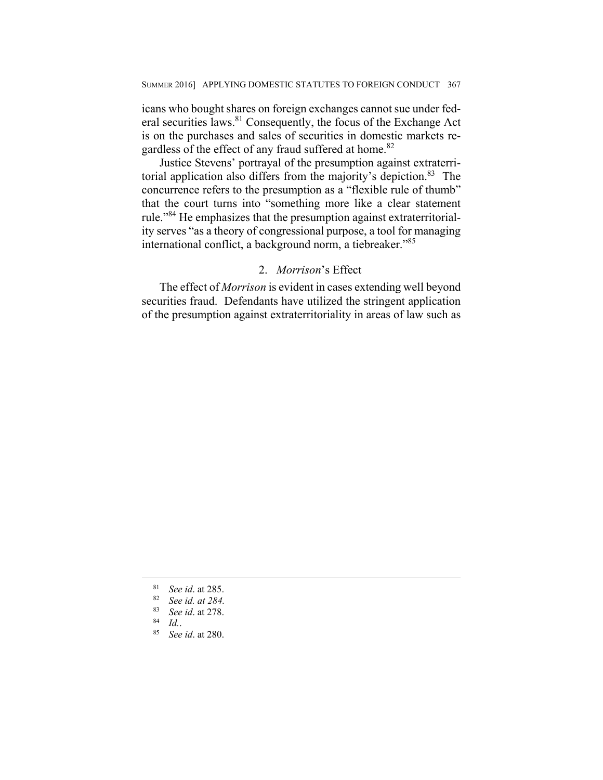icans who bought shares on foreign exchanges cannot sue under federal securities laws.81 Consequently, the focus of the Exchange Act is on the purchases and sales of securities in domestic markets regardless of the effect of any fraud suffered at home.<sup>82</sup>

Justice Stevens' portrayal of the presumption against extraterritorial application also differs from the majority's depiction.83 The concurrence refers to the presumption as a "flexible rule of thumb" that the court turns into "something more like a clear statement rule."84 He emphasizes that the presumption against extraterritoriality serves "as a theory of congressional purpose, a tool for managing international conflict, a background norm, a tiebreaker."85

## 2. *Morrison*'s Effect

The effect of *Morrison* is evident in cases extending well beyond securities fraud. Defendants have utilized the stringent application of the presumption against extraterritoriality in areas of law such as

<sup>81</sup> *See id*. at 285. 82 *See id. at 284.*

<sup>83</sup> *See id*. at 278. 84 *Id.*. 85 *See id*. at 280.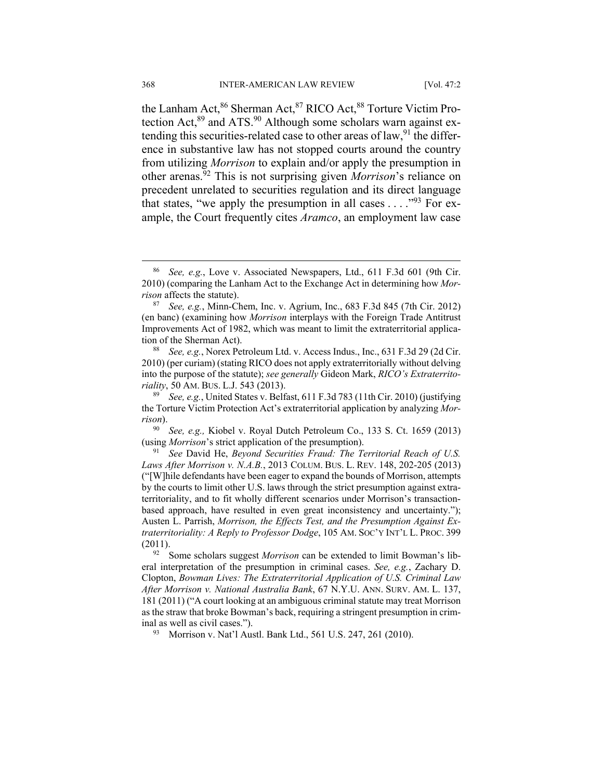the Lanham Act, <sup>86</sup> Sherman Act, <sup>87</sup> RICO Act, <sup>88</sup> Torture Victim Protection Act,<sup>89</sup> and ATS.<sup>90</sup> Although some scholars warn against extending this securities-related case to other areas of law,  $91$  the difference in substantive law has not stopped courts around the country from utilizing *Morrison* to explain and/or apply the presumption in other arenas.92 This is not surprising given *Morrison*'s reliance on precedent unrelated to securities regulation and its direct language that states, "we apply the presumption in all cases  $\dots$ ."<sup>93</sup> For example, the Court frequently cites *Aramco*, an employment law case

 <sup>86</sup> *See, e.g.*, Love v. Associated Newspapers, Ltd., 611 F.3d 601 (9th Cir. 2010) (comparing the Lanham Act to the Exchange Act in determining how *Morrison* affects the statute).<br><sup>87</sup> *See, e.g.*, Minn-Chem, Inc. v. Agrium, Inc., 683 F.3d 845 (7th Cir. 2012)

<sup>(</sup>en banc) (examining how *Morrison* interplays with the Foreign Trade Antitrust Improvements Act of 1982, which was meant to limit the extraterritorial applica-

tion of the Sherman Act).<br><sup>88</sup> *See, e.g.*, Norex Petroleum Ltd. v. Access Indus., Inc., 631 F.3d 29 (2d Cir. 2010) (per curiam) (stating RICO does not apply extraterritorially without delving into the purpose of the statute); *see generally* Gideon Mark, *RICO's Extraterritoriality*, 50 AM. BUS. L.J. 543 (2013).<br><sup>89</sup> See, e.g., United States v. Belfast, 611 F.3d 783 (11th Cir. 2010) (justifying

the Torture Victim Protection Act's extraterritorial application by analyzing *Mor-*

*rison*). 90 *See, e.g.,* Kiobel v. Royal Dutch Petroleum Co., 133 S. Ct. 1659 (2013) (using *Morrison*'s strict application of the presumption). 91 *See* David He, *Beyond Securities Fraud: The Territorial Reach of U.S.* 

*Laws After Morrison v. N.A.B.*, 2013 COLUM. BUS. L. REV. 148, 202-205 (2013) ("[W]hile defendants have been eager to expand the bounds of Morrison, attempts by the courts to limit other U.S. laws through the strict presumption against extraterritoriality, and to fit wholly different scenarios under Morrison's transactionbased approach, have resulted in even great inconsistency and uncertainty."); Austen L. Parrish, *Morrison, the Effects Test, and the Presumption Against Extraterritoriality: A Reply to Professor Dodge*, 105 AM. SOC'Y INT'L L. PROC. 399

<sup>(2011). 92</sup> Some scholars suggest *Morrison* can be extended to limit Bowman's liberal interpretation of the presumption in criminal cases. *See, e.g.*, Zachary D. Clopton, *Bowman Lives: The Extraterritorial Application of U.S. Criminal Law After Morrison v. National Australia Bank*, 67 N.Y.U. ANN. SURV. AM. L. 137, 181 (2011) ("A court looking at an ambiguous criminal statute may treat Morrison as the straw that broke Bowman's back, requiring a stringent presumption in criminal as well as civil cases."). 93 Morrison v. Nat'l Austl. Bank Ltd., 561 U.S. 247, 261 (2010).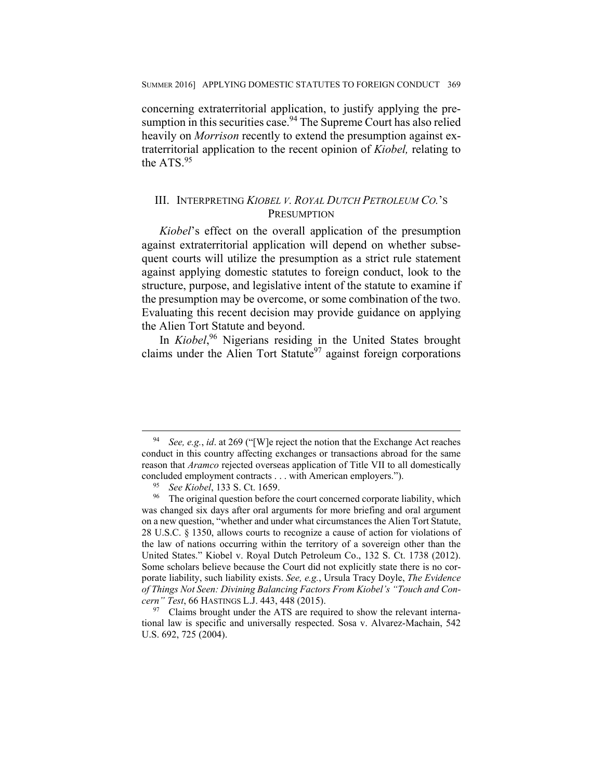concerning extraterritorial application, to justify applying the presumption in this securities case.  $94$  The Supreme Court has also relied heavily on *Morrison* recently to extend the presumption against extraterritorial application to the recent opinion of *Kiobel,* relating to the ATS.<sup>95</sup>

## III. INTERPRETING *KIOBEL V. ROYAL DUTCH PETROLEUM CO.*'S **PRESUMPTION**

*Kiobel*'s effect on the overall application of the presumption against extraterritorial application will depend on whether subsequent courts will utilize the presumption as a strict rule statement against applying domestic statutes to foreign conduct, look to the structure, purpose, and legislative intent of the statute to examine if the presumption may be overcome, or some combination of the two. Evaluating this recent decision may provide guidance on applying the Alien Tort Statute and beyond.

In *Kiobel*, 96 Nigerians residing in the United States brought claims under the Alien Tort Statute<sup>97</sup> against foreign corporations

 <sup>94</sup> *See, e.g.*, *id*. at 269 ("[W]e reject the notion that the Exchange Act reaches conduct in this country affecting exchanges or transactions abroad for the same reason that *Aramco* rejected overseas application of Title VII to all domestically

concluded employment contracts . . . with American employers.").<br><sup>95</sup> *See Kiobel*, 133 S. Ct. 1659.<br><sup>96</sup> The original question before the court concerned corporate liability, which was changed six days after oral arguments for more briefing and oral argument on a new question, "whether and under what circumstances the Alien Tort Statute, 28 U.S.C. § 1350, allows courts to recognize a cause of action for violations of the law of nations occurring within the territory of a sovereign other than the United States." Kiobel v. Royal Dutch Petroleum Co., 132 S. Ct. 1738 (2012). Some scholars believe because the Court did not explicitly state there is no corporate liability, such liability exists. *See, e.g.*, Ursula Tracy Doyle, *The Evidence of Things Not Seen: Divining Balancing Factors From Kiobel's "Touch and Concern" Test*, 66 HASTINGS L.J. 443, 448 (2015).<br><sup>97</sup> Claims brought under the ATS are required to show the relevant interna-

tional law is specific and universally respected. Sosa v. Alvarez-Machain, 542 U.S. 692, 725 (2004).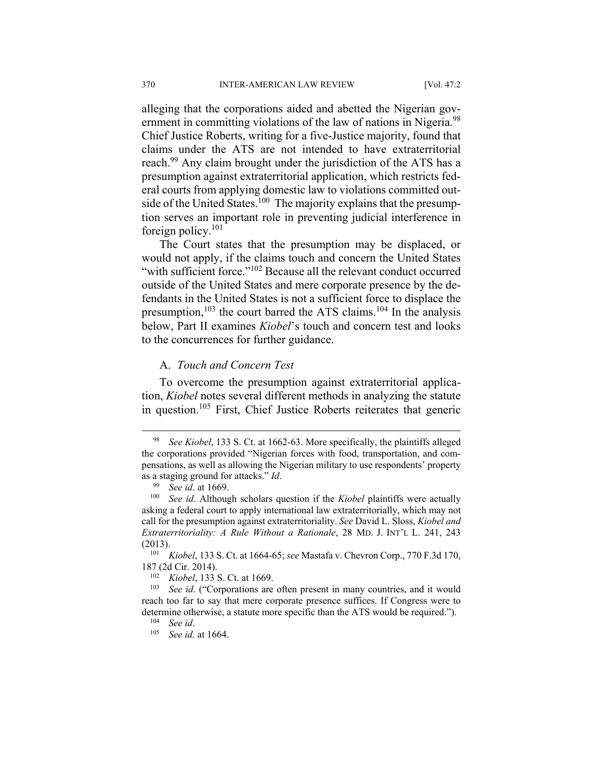alleging that the corporations aided and abetted the Nigerian government in committing violations of the law of nations in Nigeria.<sup>98</sup> Chief Justice Roberts, writing for a five-Justice majority, found that claims under the ATS are not intended to have extraterritorial reach.<sup>99</sup> Any claim brought under the jurisdiction of the ATS has a presumption against extraterritorial application, which restricts federal courts from applying domestic law to violations committed outside of the United States.<sup>100</sup> The majority explains that the presumption serves an important role in preventing judicial interference in foreign policy.101

The Court states that the presumption may be displaced, or would not apply, if the claims touch and concern the United States "with sufficient force."<sup>102</sup> Because all the relevant conduct occurred outside of the United States and mere corporate presence by the defendants in the United States is not a sufficient force to displace the presumption,<sup>103</sup> the court barred the ATS claims.<sup>104</sup> In the analysis below, Part II examines *Kiobel*'s touch and concern test and looks to the concurrences for further guidance.

### A. *Touch and Concern Test*

To overcome the presumption against extraterritorial application, *Kiobel* notes several different methods in analyzing the statute in question.105 First, Chief Justice Roberts reiterates that generic

 <sup>98</sup> *See Kiobel*, 133 S. Ct. at 1662-63. More specifically, the plaintiffs alleged the corporations provided "Nigerian forces with food, transportation, and compensations, as well as allowing the Nigerian military to use respondents' property as a staging ground for attacks." *Id*.<br><sup>99</sup> *See id.* at 1669.<br><sup>100</sup> *See id.* Although scholars question if the *Kiobel* plaintiffs were actually

asking a federal court to apply international law extraterritorially, which may not call for the presumption against extraterritoriality. *See* David L. Sloss, *Kiobel and Extraterritoriality: A Rule Without a Rationale*, 28 MD. J. INT'L L. 241, 243 (2013). 101 *Kiobel*, 133 S. Ct. at 1664-65; *see* Mastafa v. Chevron Corp., 770 F.3d 170,

<sup>187 (2</sup>d Cir. 2014).<br><sup>102</sup> *Kiobel*, 133 S. Ct. at 1669.<br><sup>103</sup> *See id.* ("Corporations are often present in many countries, and it would

reach too far to say that mere corporate presence suffices. If Congress were to determine otherwise, a statute more specific than the ATS would be required."). 104 *See id*. 105 *See id.* at 1664.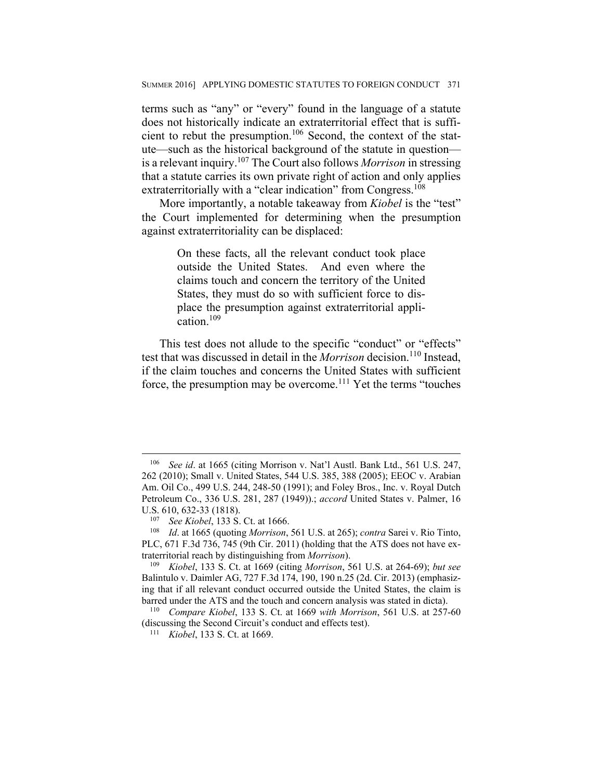terms such as "any" or "every" found in the language of a statute does not historically indicate an extraterritorial effect that is sufficient to rebut the presumption.106 Second, the context of the statute—such as the historical background of the statute in question is a relevant inquiry.107 The Court also follows *Morrison* in stressing that a statute carries its own private right of action and only applies extraterritorially with a "clear indication" from Congress.<sup>108</sup>

More importantly, a notable takeaway from *Kiobel* is the "test" the Court implemented for determining when the presumption against extraterritoriality can be displaced:

> On these facts, all the relevant conduct took place outside the United States. And even where the claims touch and concern the territory of the United States, they must do so with sufficient force to displace the presumption against extraterritorial application.<sup>109</sup>

This test does not allude to the specific "conduct" or "effects" test that was discussed in detail in the *Morrison* decision.<sup>110</sup> Instead, if the claim touches and concerns the United States with sufficient force, the presumption may be overcome.111 Yet the terms "touches

1

<sup>106</sup> *See id*. at 1665 (citing Morrison v. Nat'l Austl. Bank Ltd., 561 U.S. 247, 262 (2010); Small v. United States, 544 U.S. 385, 388 (2005); EEOC v. Arabian Am. Oil Co., 499 U.S. 244, 248-50 (1991); and Foley Bros., Inc. v. Royal Dutch Petroleum Co., 336 U.S. 281, 287 (1949)).; *accord* United States v. Palmer, 16 U.S. 610, 632-33 (1818).<br><sup>107</sup> *See Kiobel*, 133 S. Ct. at 1666.<br><sup>108</sup> *Id.* at 1665 (quoting *Morrison*, 561 U.S. at 265); *contra* Sarei v. Rio Tinto,

PLC, 671 F.3d 736, 745 (9th Cir. 2011) (holding that the ATS does not have extraterritorial reach by distinguishing from *Morrison*). 109 *Kiobel*, 133 S. Ct. at 1669 (citing *Morrison*, 561 U.S. at 264-69); *but see*

Balintulo v. Daimler AG, 727 F.3d 174, 190, 190 n.25 (2d. Cir. 2013) (emphasizing that if all relevant conduct occurred outside the United States, the claim is barred under the ATS and the touch and concern analysis was stated in dicta). 110 *Compare Kiobel*, 133 S. Ct. at 1669 *with Morrison*, 561 U.S. at 257-60

<sup>(</sup>discussing the Second Circuit's conduct and effects test). 111 *Kiobel*, 133 S. Ct. at 1669.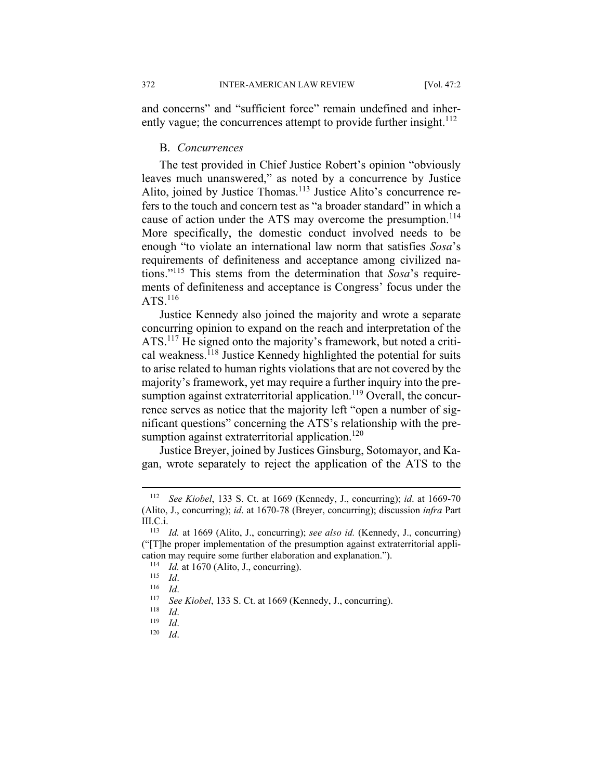and concerns" and "sufficient force" remain undefined and inherently vague; the concurrences attempt to provide further insight.<sup>112</sup>

#### B. *Concurrences*

The test provided in Chief Justice Robert's opinion "obviously leaves much unanswered," as noted by a concurrence by Justice Alito, joined by Justice Thomas.<sup>113</sup> Justice Alito's concurrence refers to the touch and concern test as "a broader standard" in which a cause of action under the ATS may overcome the presumption.<sup>114</sup> More specifically, the domestic conduct involved needs to be enough "to violate an international law norm that satisfies *Sosa*'s requirements of definiteness and acceptance among civilized nations."115 This stems from the determination that *Sosa*'s requirements of definiteness and acceptance is Congress' focus under the  $ATS$ <sup>116</sup>

Justice Kennedy also joined the majority and wrote a separate concurring opinion to expand on the reach and interpretation of the ATS.117 He signed onto the majority's framework, but noted a critical weakness.<sup>118</sup> Justice Kennedy highlighted the potential for suits to arise related to human rights violations that are not covered by the majority's framework, yet may require a further inquiry into the presumption against extraterritorial application.<sup>119</sup> Overall, the concurrence serves as notice that the majority left "open a number of significant questions" concerning the ATS's relationship with the presumption against extraterritorial application.<sup>120</sup>

Justice Breyer, joined by Justices Ginsburg, Sotomayor, and Kagan, wrote separately to reject the application of the ATS to the

<sup>112</sup> *See Kiobel*, 133 S. Ct. at 1669 (Kennedy, J., concurring); *id*. at 1669-70 (Alito, J., concurring); *id*. at 1670-78 (Breyer, concurring); discussion *infra* Part III.C.i. 113 *Id.* at 1669 (Alito, J., concurring); *see also id.* (Kennedy, J., concurring)

<sup>(&</sup>quot;[T]he proper implementation of the presumption against extraterritorial application may require some further elaboration and explanation.").<br>
<sup>114</sup> *Id.* at 1670 (Alito, J., concurring).<br>
<sup>115</sup> *Id.*<br>
<sup>116</sup> *Id.*<br>
<sup>117</sup> *See Kiobel*, 133 S. Ct. at 1669 (Kennedy, J., concurring).<br>
<sup>118</sup> *Id.*<br>
<sup>11</sup>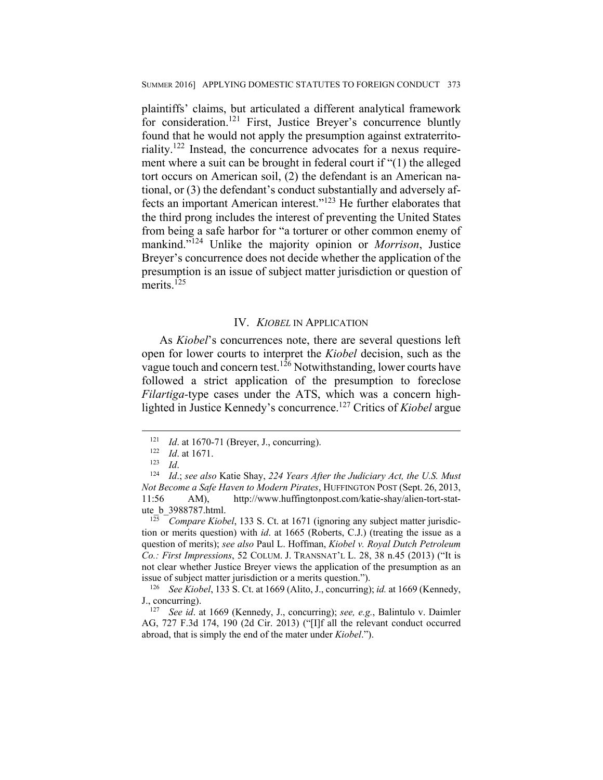plaintiffs' claims, but articulated a different analytical framework for consideration.<sup>121</sup> First, Justice Breyer's concurrence bluntly found that he would not apply the presumption against extraterritoriality.122 Instead, the concurrence advocates for a nexus requirement where a suit can be brought in federal court if "(1) the alleged tort occurs on American soil, (2) the defendant is an American national, or (3) the defendant's conduct substantially and adversely affects an important American interest."123 He further elaborates that the third prong includes the interest of preventing the United States from being a safe harbor for "a torturer or other common enemy of mankind."124 Unlike the majority opinion or *Morrison*, Justice Breyer's concurrence does not decide whether the application of the presumption is an issue of subject matter jurisdiction or question of merits.<sup>125</sup>

#### IV. *KIOBEL* IN APPLICATION

As *Kiobel*'s concurrences note, there are several questions left open for lower courts to interpret the *Kiobel* decision, such as the vague touch and concern test.<sup>126</sup> Notwithstanding, lower courts have followed a strict application of the presumption to foreclose *Filartiga-*type cases under the ATS, which was a concern highlighted in Justice Kennedy's concurrence.127 Critics of *Kiobel* argue

 $\overline{a}$ 

tion or merits question) with *id*. at 1665 (Roberts, C.J.) (treating the issue as a question of merits); *see also* Paul L. Hoffman, *Kiobel v. Royal Dutch Petroleum Co.: First Impressions*, 52 COLUM. J. TRANSNAT'L L. 28, 38 n.45 (2013) ("It is not clear whether Justice Breyer views the application of the presumption as an

<sup>121</sup> *Id.* at 1670-71 (Breyer, J., concurring).<br>
122 *Id.* at 1671.<br>
123 *Id.* 124 *Id.*; *see also* Katie Shay, 224 *Years After the Judiciary Act, the U.S. Must Not Become a Safe Haven to Modern Pirates*, HUFFINGTON POST (Sept. 26, 2013, 11:56 AM), http://www.huffingtonpost.com/katie-shay/alien-tort-statute\_b\_3988787.html.<br><sup>125</sup> *Compare Kiobel*, 133 S. Ct. at 1671 (ignoring any subject matter jurisdic-

issue of subject matter jurisdiction or a merits question.").<br><sup>126</sup> See Kiobel, 133 S. Ct. at 1669 (Alito, J., concurring); *id.* at 1669 (Kennedy, J., concurring).

<sup>&</sup>lt;sup>127</sup> See id. at 1669 (Kennedy, J., concurring); *see, e.g.*, Balintulo v. Daimler AG, 727 F.3d 174, 190 (2d Cir. 2013) ("[I]f all the relevant conduct occurred abroad, that is simply the end of the mater under *Kiobel*.").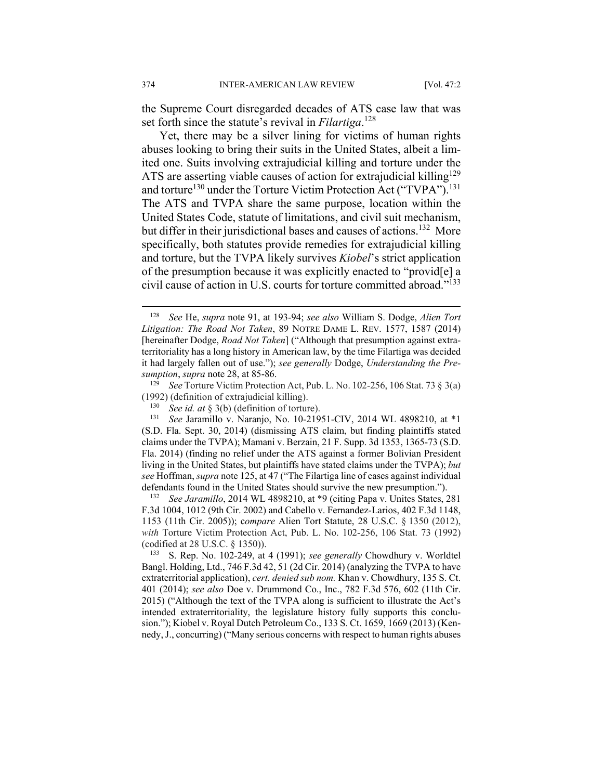the Supreme Court disregarded decades of ATS case law that was set forth since the statute's revival in *Filartiga*. 128

Yet, there may be a silver lining for victims of human rights abuses looking to bring their suits in the United States, albeit a limited one. Suits involving extrajudicial killing and torture under the ATS are asserting viable causes of action for extrajudicial killing<sup>129</sup> and torture<sup>130</sup> under the Torture Victim Protection Act ("TVPA").<sup>131</sup> The ATS and TVPA share the same purpose, location within the United States Code, statute of limitations, and civil suit mechanism, but differ in their jurisdictional bases and causes of actions.<sup>132</sup> More specifically, both statutes provide remedies for extrajudicial killing and torture, but the TVPA likely survives *Kiobel*'s strict application of the presumption because it was explicitly enacted to "provid[e] a civil cause of action in U.S. courts for torture committed abroad."133

F.3d 1004, 1012 (9th Cir. 2002) and Cabello v. Fernandez-Larios, 402 F.3d 1148, 1153 (11th Cir. 2005)); c*ompare* Alien Tort Statute, 28 U.S.C. § 1350 (2012), *with* Torture Victim Protection Act, Pub. L. No. 102-256, 106 Stat. 73 (1992) (codified at 28 U.S.C. § 1350)).

133 S. Rep. No. 102-249, at 4 (1991); *see generally* Chowdhury v. Worldtel Bangl. Holding, Ltd., 746 F.3d 42, 51 (2d Cir. 2014) (analyzing the TVPA to have extraterritorial application), *cert. denied sub nom.* Khan v. Chowdhury, 135 S. Ct. 401 (2014); *see also* Doe v. Drummond Co., Inc., 782 F.3d 576, 602 (11th Cir. 2015) ("Although the text of the TVPA along is sufficient to illustrate the Act's intended extraterritoriality, the legislature history fully supports this conclusion."); Kiobel v. Royal Dutch Petroleum Co., 133 S. Ct. 1659, 1669 (2013) (Kennedy, J., concurring) ("Many serious concerns with respect to human rights abuses

<sup>128</sup> *See* He, *supra* note 91, at 193-94; *see also* William S. Dodge, *Alien Tort Litigation: The Road Not Taken*, 89 NOTRE DAME L. REV. 1577, 1587 (2014) [hereinafter Dodge, *Road Not Taken*] ("Although that presumption against extraterritoriality has a long history in American law, by the time Filartiga was decided it had largely fallen out of use."); *see generally* Dodge, *Understanding the Presumption*, *supra* note 28, at 85-86.

<sup>129</sup> *See* Torture Victim Protection Act, Pub. L. No. 102-256, 106 Stat. 73 § 3(a) (1992) (definition of extrajudicial killing).

See id. at § 3(b) (definition of torture).

<sup>131</sup> *See* Jaramillo v. Naranjo, No. 10-21951-CIV, 2014 WL 4898210, at \*1 (S.D. Fla. Sept. 30, 2014) (dismissing ATS claim, but finding plaintiffs stated claims under the TVPA); Mamani v. Berzain, 21 F. Supp. 3d 1353, 1365-73 (S.D. Fla. 2014) (finding no relief under the ATS against a former Bolivian President living in the United States, but plaintiffs have stated claims under the TVPA); *but see* Hoffman, *supra* note 125, at 47 ("The Filartiga line of cases against individual defendants found in the United States should survive the new presumption."). 132 *See Jaramillo*, 2014 WL 4898210, at \*9 (citing Papa v. Unites States, 281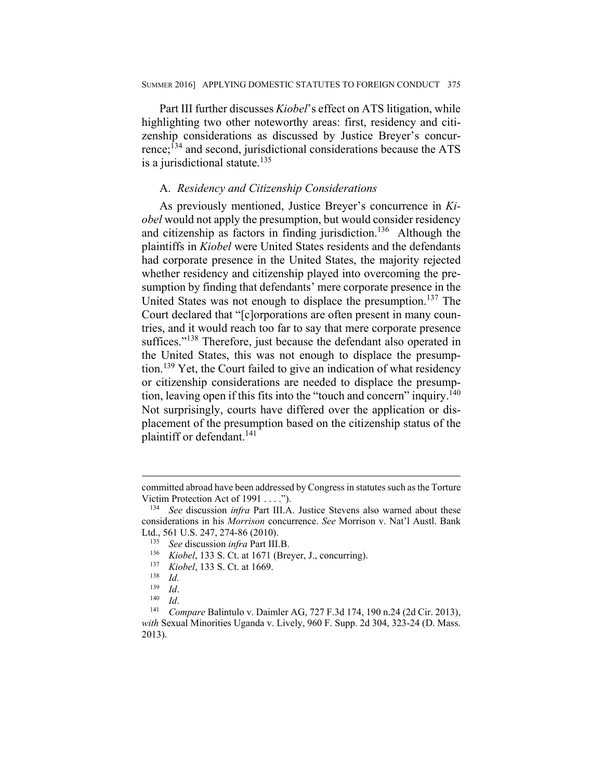Part III further discusses *Kiobel*'s effect on ATS litigation, while highlighting two other noteworthy areas: first, residency and citizenship considerations as discussed by Justice Breyer's concurrence;134 and second, jurisdictional considerations because the ATS is a jurisdictional statute. $135$ 

## A. *Residency and Citizenship Considerations*

As previously mentioned, Justice Breyer's concurrence in *Kiobel* would not apply the presumption, but would consider residency and citizenship as factors in finding jurisdiction.<sup>136</sup> Although the plaintiffs in *Kiobel* were United States residents and the defendants had corporate presence in the United States, the majority rejected whether residency and citizenship played into overcoming the presumption by finding that defendants' mere corporate presence in the United States was not enough to displace the presumption.<sup>137</sup> The Court declared that "[c]orporations are often present in many countries, and it would reach too far to say that mere corporate presence suffices."<sup>138</sup> Therefore, just because the defendant also operated in the United States, this was not enough to displace the presumption.139 Yet, the Court failed to give an indication of what residency or citizenship considerations are needed to displace the presumption, leaving open if this fits into the "touch and concern" inquiry.<sup> $140$ </sup> Not surprisingly, courts have differed over the application or displacement of the presumption based on the citizenship status of the plaintiff or defendant.<sup>141</sup>

committed abroad have been addressed by Congress in statutes such as the Torture Victim Protection Act of 1991 . . . .").<br><sup>134</sup> See discussion *infra* Part III.A. Justice Stevens also warned about these

considerations in his *Morrison* concurrence. *See* Morrison v. Nat'l Austl. Bank

Ltd., 561 U.S. 247, 274-86 (2010).<br><sup>135</sup> See discussion *infra* Part III.B.<br><sup>136</sup> Kiobel, 133 S. Ct. at 1671 (Breyer, J., concurring).<br><sup>137</sup> Kiobel, 133 S. Ct. at 1669.<br><sup>138</sup> Id.

<sup>139</sup> *Id*. 140 *Id*. 141 *Compare* Balintulo v. Daimler AG, 727 F.3d 174, 190 n.24 (2d Cir. 2013), *with* Sexual Minorities Uganda v. Lively, 960 F. Supp. 2d 304, 323-24 (D. Mass. 2013).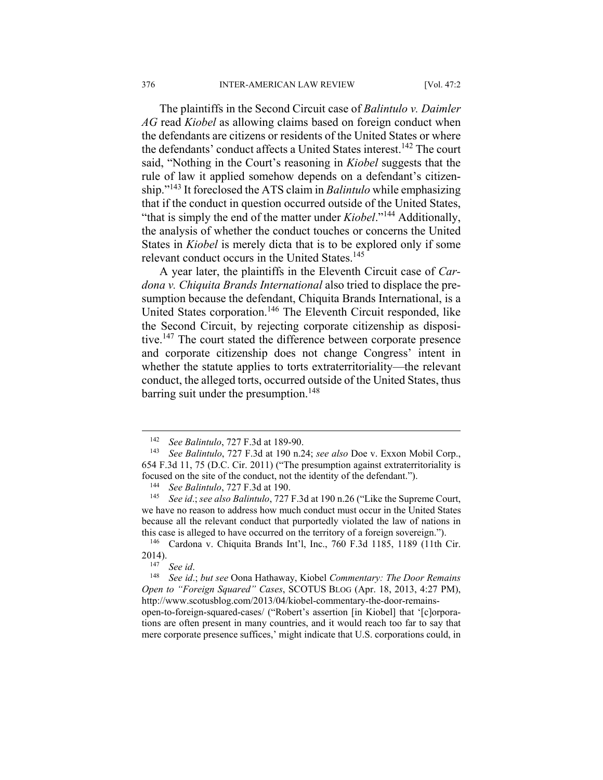The plaintiffs in the Second Circuit case of *Balintulo v. Daimler AG* read *Kiobel* as allowing claims based on foreign conduct when the defendants are citizens or residents of the United States or where the defendants' conduct affects a United States interest.<sup>142</sup> The court said, "Nothing in the Court's reasoning in *Kiobel* suggests that the rule of law it applied somehow depends on a defendant's citizenship."143 It foreclosed the ATS claim in *Balintulo* while emphasizing that if the conduct in question occurred outside of the United States, "that is simply the end of the matter under *Kiobel*."144 Additionally, the analysis of whether the conduct touches or concerns the United States in *Kiobel* is merely dicta that is to be explored only if some relevant conduct occurs in the United States.<sup>145</sup>

A year later, the plaintiffs in the Eleventh Circuit case of *Cardona v. Chiquita Brands International* also tried to displace the presumption because the defendant, Chiquita Brands International, is a United States corporation.<sup>146</sup> The Eleventh Circuit responded, like the Second Circuit, by rejecting corporate citizenship as dispositive.<sup>147</sup> The court stated the difference between corporate presence and corporate citizenship does not change Congress' intent in whether the statute applies to torts extraterritoriality—the relevant conduct, the alleged torts, occurred outside of the United States, thus barring suit under the presumption.<sup>148</sup>

<sup>142</sup> *See Balintulo*, 727 F.3d at 189-90. 143 *See Balintulo*, 727 F.3d at 190 n.24; *see also* Doe v. Exxon Mobil Corp., 654 F.3d 11, 75 (D.C. Cir. 2011) ("The presumption against extraterritoriality is focused on the site of the conduct, not the identity of the defendant.").<br><sup>144</sup> See Balintulo, 727 F.3d at 190.<br><sup>145</sup> See id.; see also Balintulo, 727 F.3d at 190 n.26 ("Like the Supreme Court,

we have no reason to address how much conduct must occur in the United States because all the relevant conduct that purportedly violated the law of nations in this case is alleged to have occurred on the territory of a foreign sovereign.").<br><sup>146</sup> Cardona v. Chiquita Brands Int'l, Inc., 760 F.3d 1185, 1189 (11th Cir.

<sup>2014). 147</sup> *See id*. 148 *See id*.; *but see* Oona Hathaway, Kiobel *Commentary: The Door Remains* 

*Open to "Foreign Squared" Cases*, SCOTUS BLOG (Apr. 18, 2013, 4:27 PM), http://www.scotusblog.com/2013/04/kiobel-commentary-the-door-remainsopen-to-foreign-squared-cases/ ("Robert's assertion [in Kiobel] that '[c]orpora-

tions are often present in many countries, and it would reach too far to say that mere corporate presence suffices,' might indicate that U.S. corporations could, in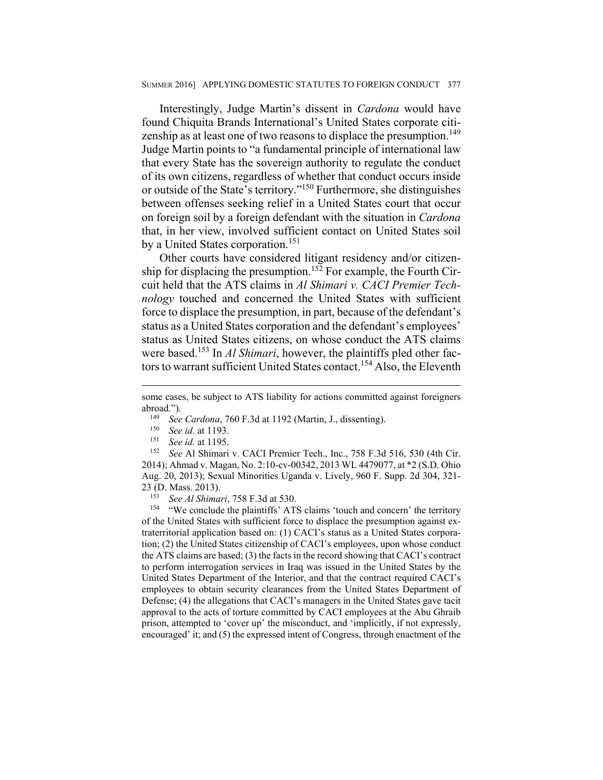Interestingly, Judge Martin's dissent in *Cardona* would have found Chiquita Brands International's United States corporate citizenship as at least one of two reasons to displace the presumption.<sup>149</sup> Judge Martin points to "a fundamental principle of international law that every State has the sovereign authority to regulate the conduct of its own citizens, regardless of whether that conduct occurs inside or outside of the State's territory."150 Furthermore, she distinguishes between offenses seeking relief in a United States court that occur on foreign soil by a foreign defendant with the situation in *Cardona* that, in her view, involved sufficient contact on United States soil by a United States corporation.<sup>151</sup>

Other courts have considered litigant residency and/or citizenship for displacing the presumption.<sup>152</sup> For example, the Fourth Circuit held that the ATS claims in *Al Shimari v. CACI Premier Technology* touched and concerned the United States with sufficient force to displace the presumption, in part, because of the defendant's status as a United States corporation and the defendant's employees' status as United States citizens, on whose conduct the ATS claims were based.153 In *Al Shimari*, however, the plaintiffs pled other factors to warrant sufficient United States contact.<sup>154</sup> Also, the Eleventh

- 
- 
- 

 $\overline{a}$ 

2014); Ahmad v. Magan, No. 2:10-cv-00342, 2013 WL 4479077, at \*2 (S.D. Ohio Aug. 20, 2013); Sexual Minorities Uganda v. Lively, 960 F. Supp. 2d 304, 321- 23 (D. Mass. 2013).<br><sup>153</sup> *See Al Shimari*, 758 F.3d at 530.<br><sup>154</sup> "We conclude the plaintiffs' ATS claims 'touch and concern' the territory

of the United States with sufficient force to displace the presumption against extraterritorial application based on: (1) CACI's status as a United States corporation; (2) the United States citizenship of CACI's employees, upon whose conduct the ATS claims are based; (3) the facts in the record showing that CACI's contract to perform interrogation services in Iraq was issued in the United States by the United States Department of the Interior, and that the contract required CACI's employees to obtain security clearances from the United States Department of Defense; (4) the allegations that CACI's managers in the United States gave tacit approval to the acts of torture committed by CACI employees at the Abu Ghraib prison, attempted to 'cover up' the misconduct, and 'implicitly, if not expressly, encouraged' it; and (5) the expressed intent of Congress, through enactment of the

some cases, be subject to ATS liability for actions committed against foreigners abroad.").<br>
<sup>149</sup> See Cardona, 760 F.3d at 1192 (Martin, J., dissenting).<br>
<sup>150</sup> See id. at 1193.<br>
<sup>151</sup> See id. at 1195.<br>
<sup>152</sup> See Al Shimari v. CACI Premier Tech., Inc., 758 F.3d 516, 530 (4th Cir.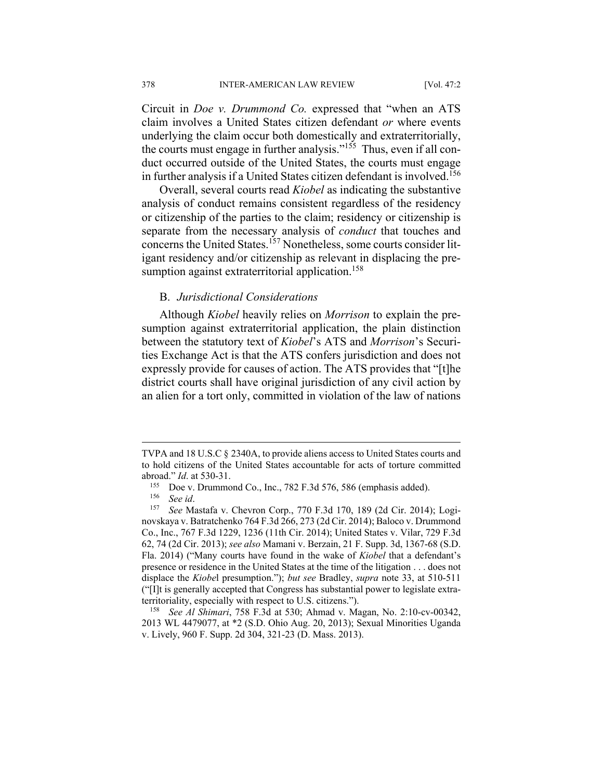Circuit in *Doe v. Drummond Co.* expressed that "when an ATS claim involves a United States citizen defendant *or* where events underlying the claim occur both domestically and extraterritorially, the courts must engage in further analysis." $155$  Thus, even if all conduct occurred outside of the United States, the courts must engage in further analysis if a United States citizen defendant is involved.<sup>156</sup>

Overall, several courts read *Kiobel* as indicating the substantive analysis of conduct remains consistent regardless of the residency or citizenship of the parties to the claim; residency or citizenship is separate from the necessary analysis of *conduct* that touches and concerns the United States.<sup>157</sup> Nonetheless, some courts consider litigant residency and/or citizenship as relevant in displacing the presumption against extraterritorial application.<sup>158</sup>

#### B. *Jurisdictional Considerations*

Although *Kiobel* heavily relies on *Morrison* to explain the presumption against extraterritorial application, the plain distinction between the statutory text of *Kiobel*'s ATS and *Morrison*'s Securities Exchange Act is that the ATS confers jurisdiction and does not expressly provide for causes of action. The ATS provides that "[t]he district courts shall have original jurisdiction of any civil action by an alien for a tort only, committed in violation of the law of nations

 $\overline{a}$ 

2013 WL 4479077, at \*2 (S.D. Ohio Aug. 20, 2013); Sexual Minorities Uganda v. Lively, 960 F. Supp. 2d 304, 321-23 (D. Mass. 2013).

TVPA and 18 U.S.C § 2340A, to provide aliens access to United States courts and to hold citizens of the United States accountable for acts of torture committed abroad." *Id*. at 530-31.<br><sup>155</sup> Doe v. Drummond Co., Inc., 782 F.3d 576, 586 (emphasis added).<br><sup>156</sup> See *id*.<br><sup>157</sup> See Mastafa v. Chevron Corp., 770 F.3d 170, 189 (2d Cir. 2014); Logi-

novskaya v. Batratchenko 764 F.3d 266, 273 (2d Cir. 2014); Baloco v. Drummond Co., Inc., 767 F.3d 1229, 1236 (11th Cir. 2014); United States v. Vilar, 729 F.3d 62, 74 (2d Cir. 2013); *see also* Mamani v. Berzain, 21 F. Supp. 3d, 1367-68 (S.D. Fla. 2014) ("Many courts have found in the wake of *Kiobel* that a defendant's presence or residence in the United States at the time of the litigation . . . does not displace the *Kiobe*l presumption."); *but see* Bradley, *supra* note 33, at 510-511 ("[I]t is generally accepted that Congress has substantial power to legislate extraterritoriality, especially with respect to U.S. citizens."). 158 *See Al Shimari*, 758 F.3d at 530; Ahmad v. Magan, No. 2:10-cv-00342,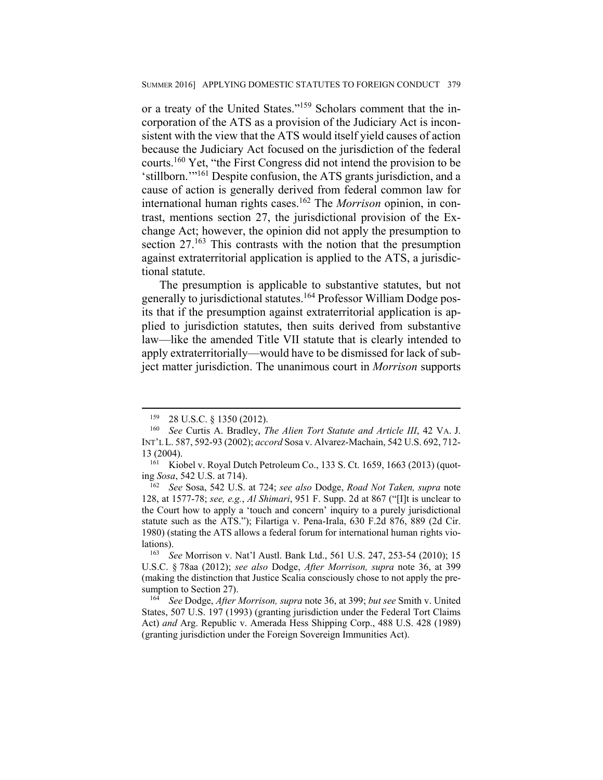or a treaty of the United States."159 Scholars comment that the incorporation of the ATS as a provision of the Judiciary Act is inconsistent with the view that the ATS would itself yield causes of action because the Judiciary Act focused on the jurisdiction of the federal courts.160 Yet, "the First Congress did not intend the provision to be 'stillborn.'"161 Despite confusion, the ATS grants jurisdiction, and a cause of action is generally derived from federal common law for international human rights cases.162 The *Morrison* opinion, in contrast, mentions section 27, the jurisdictional provision of the Exchange Act; however, the opinion did not apply the presumption to section 27.<sup>163</sup> This contrasts with the notion that the presumption against extraterritorial application is applied to the ATS, a jurisdictional statute.

The presumption is applicable to substantive statutes, but not generally to jurisdictional statutes.164 Professor William Dodge posits that if the presumption against extraterritorial application is applied to jurisdiction statutes, then suits derived from substantive law—like the amended Title VII statute that is clearly intended to apply extraterritorially—would have to be dismissed for lack of subject matter jurisdiction. The unanimous court in *Morrison* supports

<sup>159 28</sup> U.S.C. § 1350 (2012). 160 *See* Curtis A. Bradley, *The Alien Tort Statute and Article III*, 42 VA. J. INT'L L. 587, 592-93 (2002); *accord* Sosa v. Alvarez-Machain, 542 U.S. 692, 712- 13 (2004).<br><sup>161</sup> Kiobel v. Royal Dutch Petroleum Co., 133 S. Ct. 1659, 1663 (2013) (quot-

ing *Sosa*, 542 U.S. at 714). 162 *See* Sosa, 542 U.S. at 724; *see also* Dodge, *Road Not Taken, supra* note

<sup>128,</sup> at 1577-78; *see, e.g.*, *Al Shimari*, 951 F. Supp. 2d at 867 ("[I]t is unclear to the Court how to apply a 'touch and concern' inquiry to a purely jurisdictional statute such as the ATS."); Filartiga v. Pena-Irala, 630 F.2d 876, 889 (2d Cir. 1980) (stating the ATS allows a federal forum for international human rights violations). 163 *See* Morrison v. Nat'l Austl. Bank Ltd., 561 U.S. 247, 253-54 (2010); 15

U.S.C. § 78aa (2012); *see also* Dodge, *After Morrison, supra* note 36, at 399 (making the distinction that Justice Scalia consciously chose to not apply the presumption to Section 27). 164 *See* Dodge, *After Morrison, supra* note 36, at 399; *but see* Smith v. United

States, 507 U.S. 197 (1993) (granting jurisdiction under the Federal Tort Claims Act) *and* Arg. Republic v. Amerada Hess Shipping Corp., 488 U.S. 428 (1989) (granting jurisdiction under the Foreign Sovereign Immunities Act).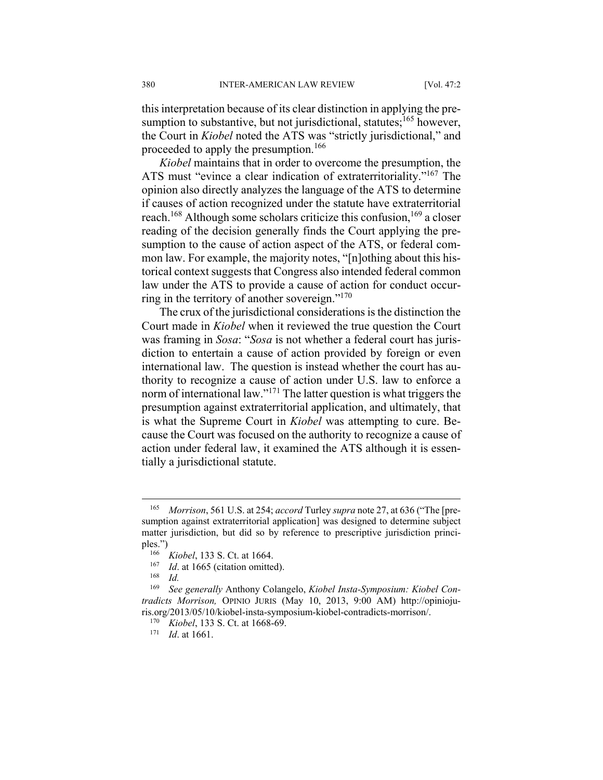this interpretation because of its clear distinction in applying the presumption to substantive, but not jurisdictional, statutes;<sup>165</sup> however, the Court in *Kiobel* noted the ATS was "strictly jurisdictional," and proceeded to apply the presumption.<sup>166</sup>

*Kiobel* maintains that in order to overcome the presumption, the ATS must "evince a clear indication of extraterritoriality."167 The opinion also directly analyzes the language of the ATS to determine if causes of action recognized under the statute have extraterritorial reach.<sup>168</sup> Although some scholars criticize this confusion, <sup>169</sup> a closer reading of the decision generally finds the Court applying the presumption to the cause of action aspect of the ATS, or federal common law. For example, the majority notes, "[n]othing about this historical context suggests that Congress also intended federal common law under the ATS to provide a cause of action for conduct occurring in the territory of another sovereign."170

The crux of the jurisdictional considerations is the distinction the Court made in *Kiobel* when it reviewed the true question the Court was framing in *Sosa*: "*Sosa* is not whether a federal court has jurisdiction to entertain a cause of action provided by foreign or even international law. The question is instead whether the court has authority to recognize a cause of action under U.S. law to enforce a norm of international law."<sup>171</sup> The latter question is what triggers the presumption against extraterritorial application, and ultimately, that is what the Supreme Court in *Kiobel* was attempting to cure. Because the Court was focused on the authority to recognize a cause of action under federal law, it examined the ATS although it is essentially a jurisdictional statute.

1

<sup>165</sup> *Morrison*, 561 U.S. at 254; *accord* Turley *supra* note 27, at 636 ("The [presumption against extraterritorial application] was designed to determine subject matter jurisdiction, but did so by reference to prescriptive jurisdiction principles.")<br><sup>166</sup> *Kiobel*, 133 S. Ct. at 1664.<br><sup>167</sup> *Id.* at 1665 (citation omitted).<br><sup>168</sup> *Id.* 

<sup>169</sup> *See generally* Anthony Colangelo, *Kiobel Insta-Symposium: Kiobel Contradicts Morrison,* OPINIO JURIS (May 10, 2013, 9:00 AM) http://opiniojuris.org/2013/05/10/kiobel-insta-symposium-kiobel-contradicts-morrison/. 170 *Kiobel*, 133 S. Ct. at 1668-69. 171 *Id*. at 1661.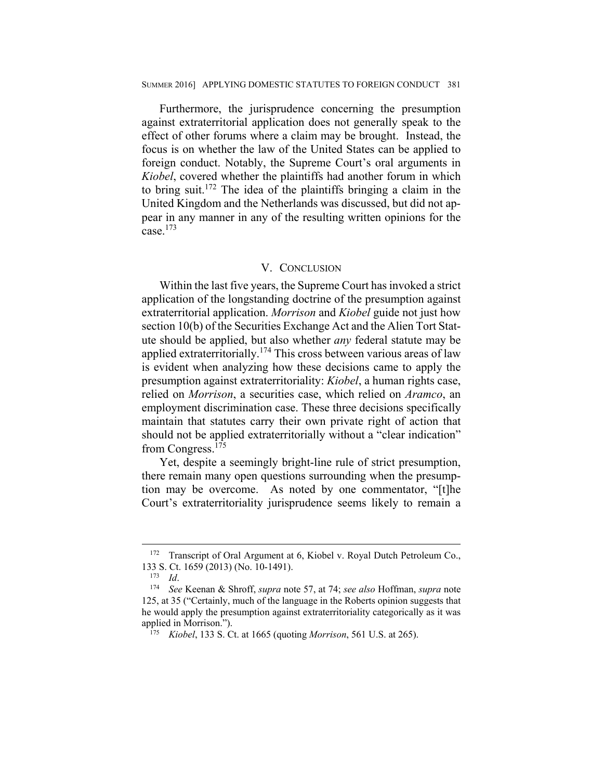#### SUMMER 2016] APPLYING DOMESTIC STATUTES TO FOREIGN CONDUCT 381

Furthermore, the jurisprudence concerning the presumption against extraterritorial application does not generally speak to the effect of other forums where a claim may be brought. Instead, the focus is on whether the law of the United States can be applied to foreign conduct. Notably, the Supreme Court's oral arguments in *Kiobel*, covered whether the plaintiffs had another forum in which to bring suit.172 The idea of the plaintiffs bringing a claim in the United Kingdom and the Netherlands was discussed, but did not appear in any manner in any of the resulting written opinions for the case.173

#### V. CONCLUSION

Within the last five years, the Supreme Court has invoked a strict application of the longstanding doctrine of the presumption against extraterritorial application. *Morrison* and *Kiobel* guide not just how section 10(b) of the Securities Exchange Act and the Alien Tort Statute should be applied, but also whether *any* federal statute may be applied extraterritorially.<sup>174</sup> This cross between various areas of law is evident when analyzing how these decisions came to apply the presumption against extraterritoriality: *Kiobel*, a human rights case, relied on *Morrison*, a securities case, which relied on *Aramco*, an employment discrimination case. These three decisions specifically maintain that statutes carry their own private right of action that should not be applied extraterritorially without a "clear indication" from Congress.<sup>175</sup>

Yet, despite a seemingly bright-line rule of strict presumption, there remain many open questions surrounding when the presumption may be overcome. As noted by one commentator, "[t]he Court's extraterritoriality jurisprudence seems likely to remain a

<sup>&</sup>lt;sup>172</sup> Transcript of Oral Argument at 6, Kiobel v. Royal Dutch Petroleum Co., 133 S. Ct. 1659 (2013) (No. 10-1491). 173 *Id*. 174 *See* Keenan & Shroff, *supra* note 57, at 74; *see also* Hoffman, *supra* note

<sup>125,</sup> at 35 ("Certainly, much of the language in the Roberts opinion suggests that he would apply the presumption against extraterritoriality categorically as it was applied in Morrison."). 175 *Kiobel*, 133 S. Ct. at 1665 (quoting *Morrison*, 561 U.S. at 265).